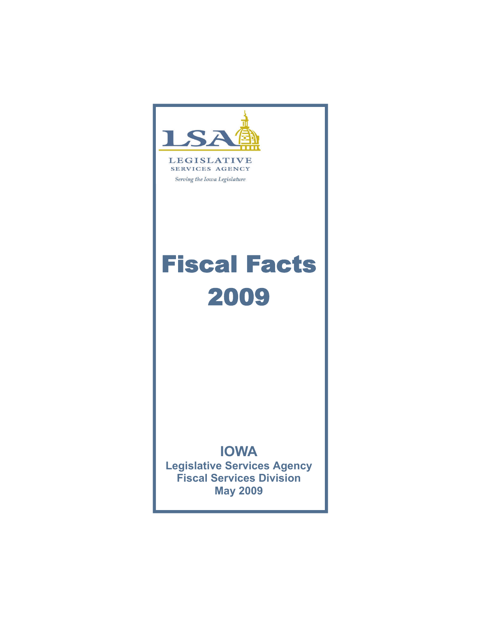

# **LEGISLATIVE SERVICES AGENCY**

Serving the Iowa Legislature

# Fiscal Facts 2009

# **IOWA**

**Legislative Services Agency Fiscal Services Division May 2009**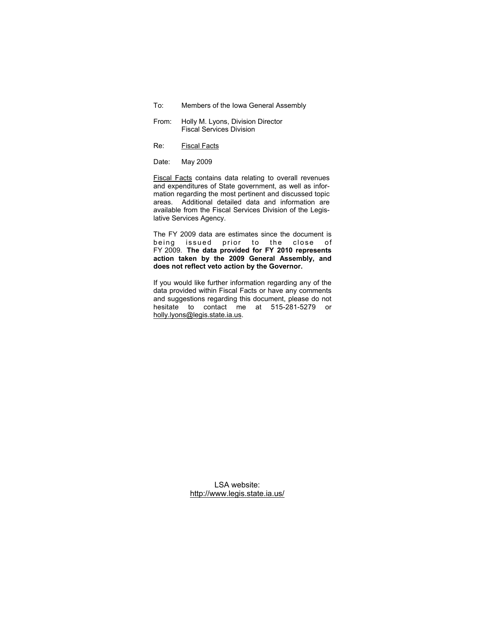To: Members of the Iowa General Assembly

- From: Holly M. Lyons, Division Director Fiscal Services Division
- Re: Fiscal Facts
- Date: May 2009

Fiscal Facts contains data relating to overall revenues and expenditures of State government, as well as information regarding the most pertinent and discussed topic areas. Additional detailed data and information are available from the Fiscal Services Division of the Legislative Services Agency.

The FY 2009 data are estimates since the document is being issued prior to the close of FY 2009. **The data provided for FY 2010 represents action taken by the 2009 General Assembly, and does not reflect veto action by the Governor.**

If you would like further information regarding any of the data provided within Fiscal Facts or have any comments and suggestions regarding this document, please do not hesitate to contact me at 515-281-5279 or holly.lyons@legis.state.ia.us.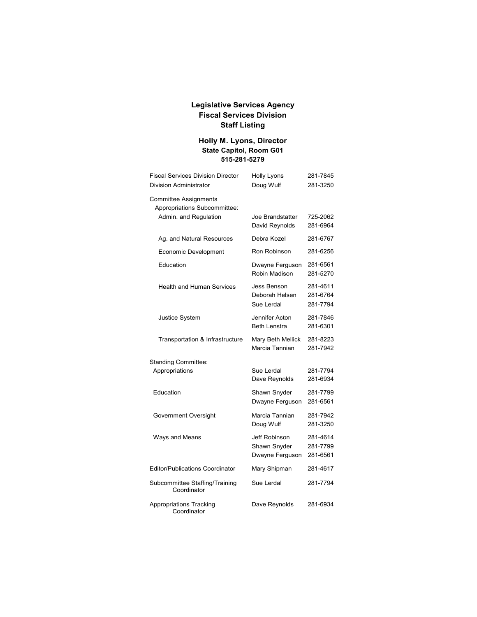# **Legislative Services Agency Fiscal Services Division Staff Listing**

# **Holly M. Lyons, Director State Capitol, Room G01 515-281-5279**

| <b>Fiscal Services Division Director</b><br><b>Division Administrator</b> | Holly Lyons<br>Doug Wulf                         | 281-7845<br>281-3250             |  |
|---------------------------------------------------------------------------|--------------------------------------------------|----------------------------------|--|
| <b>Committee Assignments</b><br>Appropriations Subcommittee:              |                                                  |                                  |  |
| Admin. and Regulation                                                     | Joe Brandstatter<br>David Reynolds               | 725-2062<br>281-6964             |  |
| Ag. and Natural Resources                                                 | Debra Kozel                                      | 281-6767                         |  |
| Economic Development                                                      | Ron Robinson                                     | 281-6256                         |  |
| Education                                                                 | Dwayne Ferguson<br>Robin Madison                 | 281-6561<br>281-5270             |  |
| <b>Health and Human Services</b>                                          | Jess Benson<br>Deborah Helsen<br>Sue Lerdal      | 281-4611<br>281-6764<br>281-7794 |  |
| <b>Justice System</b>                                                     | Jennifer Acton<br><b>Beth Lenstra</b>            | 281-7846<br>281-6301             |  |
| Transportation & Infrastructure                                           | Mary Beth Mellick<br>Marcia Tannian              |                                  |  |
| Standing Committee:                                                       |                                                  |                                  |  |
| Appropriations                                                            | Sue Lerdal<br>Dave Reynolds                      | 281-7794<br>281-6934             |  |
| Education                                                                 | Shawn Snyder<br>Dwayne Ferguson                  | 281-7799<br>281-6561             |  |
| Government Oversight                                                      | Marcia Tannian<br>Doug Wulf                      | 281-7942<br>281-3250             |  |
| Ways and Means                                                            | Jeff Robinson<br>Shawn Snyder<br>Dwayne Ferguson | 281-4614<br>281-7799<br>281-6561 |  |
| <b>Editor/Publications Coordinator</b>                                    | Mary Shipman                                     | 281-4617                         |  |
| Subcommittee Staffing/Training<br>Coordinator                             | Sue Lerdal                                       | 281-7794                         |  |
| <b>Appropriations Tracking</b><br>Coordinator                             | Dave Reynolds                                    | 281-6934                         |  |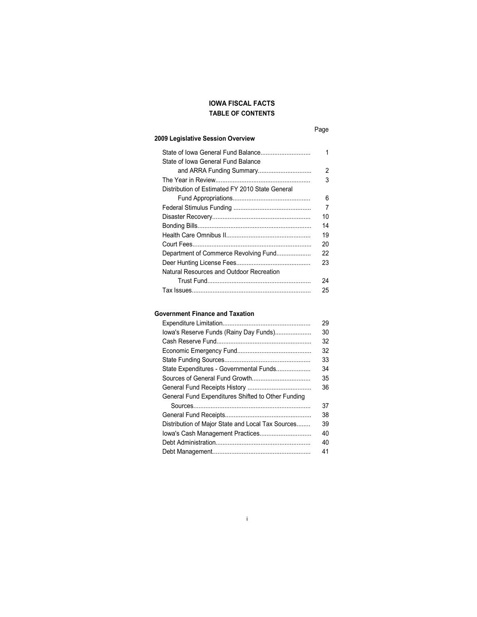# **TABLE OF CONTENTS IOWA FISCAL FACTS**

# **2009 Legislative Session Overview**

| State of Iowa General Fund Balance<br>State of Iowa General Fund Balance | 1  |
|--------------------------------------------------------------------------|----|
|                                                                          | 2  |
|                                                                          | 3  |
| Distribution of Estimated FY 2010 State General                          |    |
|                                                                          | 6  |
|                                                                          | 7  |
|                                                                          | 10 |
|                                                                          | 14 |
|                                                                          | 19 |
|                                                                          | 20 |
| Department of Commerce Revolving Fund                                    | 22 |
|                                                                          | 23 |
| Natural Resources and Outdoor Recreation                                 |    |
|                                                                          | 24 |
|                                                                          | 25 |

# **Government Finance and Taxation**

|                                                    | 29 |
|----------------------------------------------------|----|
| lowa's Reserve Funds (Rainy Day Funds)             | 30 |
|                                                    | 32 |
|                                                    | 32 |
|                                                    | 33 |
| State Expenditures - Governmental Funds            | 34 |
|                                                    | 35 |
|                                                    | 36 |
| General Fund Expenditures Shifted to Other Funding |    |
|                                                    | 37 |
|                                                    | 38 |
| Distribution of Major State and Local Tax Sources  | 39 |
|                                                    | 40 |
|                                                    | 40 |
|                                                    | 41 |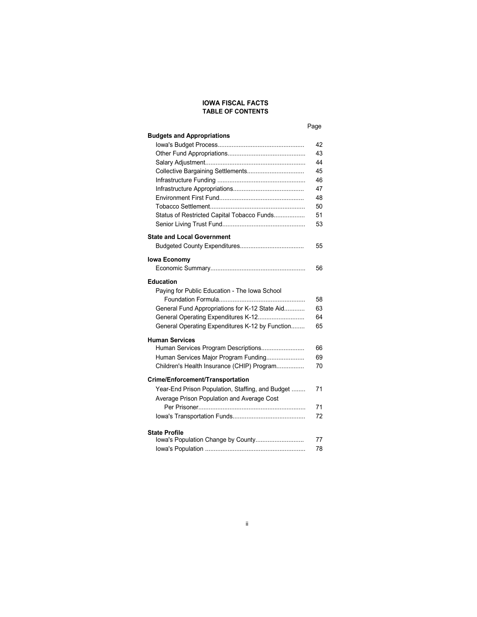# **IOWA FISCAL FACTS TABLE OF CONTENTS**

# Page

| <b>Budgets and Appropriations</b>                |    |
|--------------------------------------------------|----|
|                                                  | 42 |
|                                                  | 43 |
|                                                  | 44 |
| Collective Bargaining Settlements                | 45 |
|                                                  | 46 |
|                                                  | 47 |
|                                                  | 48 |
|                                                  | 50 |
| Status of Restricted Capital Tobacco Funds       | 51 |
|                                                  | 53 |
| <b>State and Local Government</b>                |    |
|                                                  | 55 |
| lowa Economy                                     |    |
|                                                  | 56 |
| <b>Education</b>                                 |    |
| Paying for Public Education - The Iowa School    |    |
|                                                  | 58 |
| General Fund Appropriations for K-12 State Aid   | 63 |
| General Operating Expenditures K-12              | 64 |
| General Operating Expenditures K-12 by Function  | 65 |
| <b>Human Services</b>                            |    |
| Human Services Program Descriptions              | 66 |
| Human Services Major Program Funding             | 69 |
| Children's Health Insurance (CHIP) Program       | 70 |
| Crime/Enforcement/Transportation                 |    |
| Year-End Prison Population, Staffing, and Budget | 71 |
| Average Prison Population and Average Cost       |    |
|                                                  | 71 |
|                                                  | 72 |
| <b>State Profile</b>                             |    |
| lowa's Population Change by County               | 77 |
|                                                  | 78 |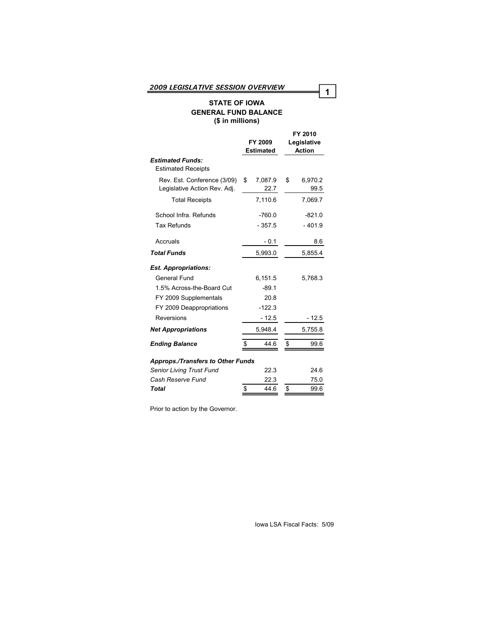# **STATE OF IOWA GENERAL FUND BALANCE (\$ in millions)**

|                                                             |      | FY 2009<br><b>Estimated</b> |    | FY 2010<br>Legislative<br><b>Action</b> |
|-------------------------------------------------------------|------|-----------------------------|----|-----------------------------------------|
| <b>Estimated Funds:</b><br><b>Estimated Receipts</b>        |      |                             |    |                                         |
| Rev. Est. Conference (3/09)<br>Legislative Action Rev. Adj. | \$   | 7,087.9<br>22.7             | \$ | 6,970.2<br>99.5                         |
| <b>Total Receipts</b>                                       |      | 7,110.6                     |    | 7,069.7                                 |
| School Infra, Refunds                                       |      | $-760.0$                    |    | $-821.0$                                |
| <b>Tax Refunds</b>                                          |      | $-357.5$                    |    | $-401.9$                                |
| Accruals                                                    |      | $-0.1$                      |    | 8.6                                     |
| <b>Total Funds</b>                                          |      | 5,993.0                     |    | 5,855.4                                 |
| <b>Est. Appropriations:</b>                                 |      |                             |    |                                         |
| General Fund                                                |      | 6,151.5                     |    | 5,768.3                                 |
| 1.5% Across-the-Board Cut                                   |      | $-89.1$                     |    |                                         |
| FY 2009 Supplementals                                       |      | 20.8                        |    |                                         |
| FY 2009 Deappropriations                                    |      | $-122.3$                    |    |                                         |
| Reversions                                                  |      | $-12.5$                     |    | $-12.5$                                 |
| <b>Net Appropriations</b>                                   |      | 5,948.4                     |    | 5,755.8                                 |
| <b>Ending Balance</b>                                       | \$   | 44.6                        | \$ | 99.6                                    |
| <b>Approps./Transfers to Other Funds</b>                    |      |                             |    |                                         |
| Senior Living Trust Fund                                    | 22.3 |                             |    | 24.6                                    |
| Cash Reserve Fund                                           |      | 22.3                        |    | 75.0                                    |
| <b>Total</b>                                                | \$   | 44.6                        | \$ | 99.6                                    |

Prior to action by the Governor.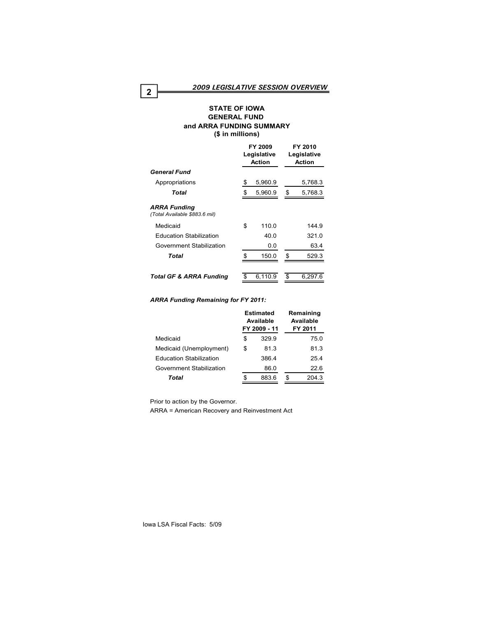#### **STATE OF IOWA GENERAL FUND and ARRA FUNDING SUMMARY (\$ in millions)**

|                                                      | FY 2009<br>Legislative<br>Action |         | FY 2010<br>Legislative<br><b>Action</b> |
|------------------------------------------------------|----------------------------------|---------|-----------------------------------------|
| <b>General Fund</b>                                  |                                  |         |                                         |
| Appropriations                                       | \$                               | 5,960.9 | 5,768.3                                 |
| Total                                                |                                  | 5,960.9 | \$<br>5,768.3                           |
| <b>ARRA Funding</b><br>(Total Available \$883.6 mil) |                                  |         |                                         |
| Medicaid                                             | \$                               | 110.0   | 144.9                                   |
| <b>Education Stabilization</b>                       |                                  | 40.0    | 321.0                                   |
| Government Stabilization                             |                                  | 0.0     | 63.4                                    |
| Total                                                | \$.                              | 150.0   | \$<br>529.3                             |
| <b>Total GF &amp; ARRA Funding</b>                   |                                  | 6,110.9 | 6,297.6                                 |

#### *ARRA Funding Remaining for FY 2011:*

| Estimated<br>Available<br>FY 2009 - 11 |       | Remaining<br>Available<br>FY 2011 |
|----------------------------------------|-------|-----------------------------------|
| \$                                     | 329.9 | 75.0                              |
| \$                                     | 81.3  | 81.3                              |
|                                        | 386.4 | 25.4                              |
|                                        | 86.0  | 22.6                              |
|                                        | 883.6 | \$<br>204.3                       |
|                                        |       |                                   |

Prior to action by the Governor.

ARRA = American Recovery and Reinvestment Act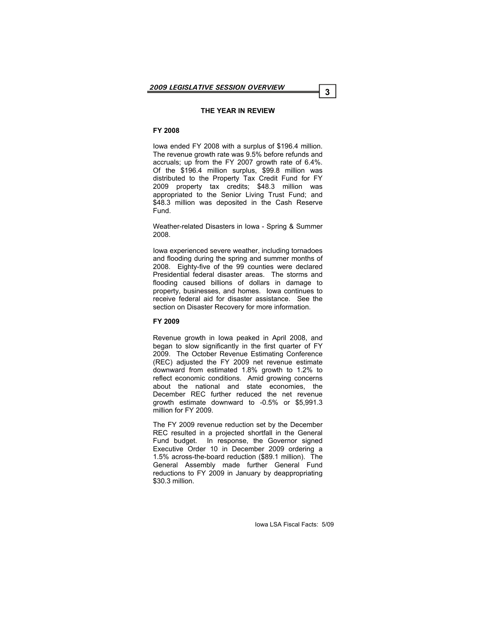#### **THE YEAR IN REVIEW**

# **FY 2008**

Iowa ended FY 2008 with a surplus of \$196.4 million. The revenue growth rate was 9.5% before refunds and accruals; up from the FY 2007 growth rate of 6.4%. Of the \$196.4 million surplus, \$99.8 million was distributed to the Property Tax Credit Fund for FY 2009 property tax credits; \$48.3 million was appropriated to the Senior Living Trust Fund; and \$48.3 million was deposited in the Cash Reserve Fund.

Weather-related Disasters in Iowa - Spring & Summer 2008.

Iowa experienced severe weather, including tornadoes and flooding during the spring and summer months of 2008. Eighty-five of the 99 counties were declared Presidential federal disaster areas. The storms and flooding caused billions of dollars in damage to property, businesses, and homes. Iowa continues to receive federal aid for disaster assistance. See the section on Disaster Recovery for more information.

#### **FY 2009**

Revenue growth in Iowa peaked in April 2008, and began to slow significantly in the first quarter of FY 2009. The October Revenue Estimating Conference (REC) adjusted the FY 2009 net revenue estimate downward from estimated 1.8% growth to 1.2% to reflect economic conditions. Amid growing concerns about the national and state economies, the December REC further reduced the net revenue growth estimate downward to -0.5% or \$5,991.3 million for FY 2009.

The FY 2009 revenue reduction set by the December REC resulted in a projected shortfall in the General Fund budget. In response, the Governor signed Executive Order 10 in December 2009 ordering a 1.5% across-the-board reduction (\$89.1 million). The General Assembly made further General Fund reductions to FY 2009 in January by deappropriating \$30.3 million.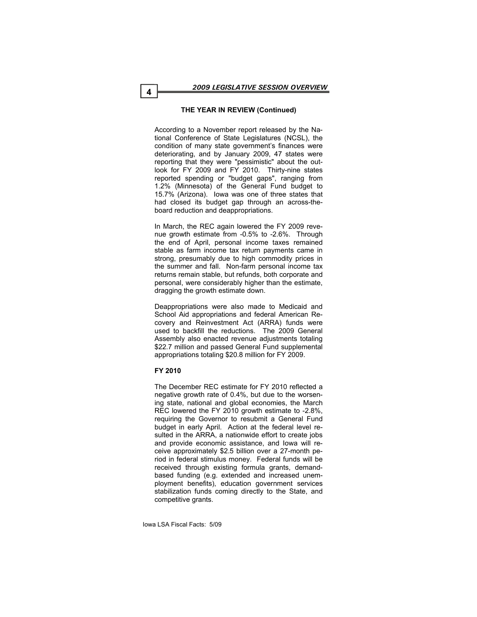# **THE YEAR IN REVIEW (Continued)**

According to a November report released by the National Conference of State Legislatures (NCSL), the condition of many state government's finances were deteriorating, and by January 2009, 47 states were reporting that they were "pessimistic" about the outlook for FY 2009 and FY 2010. Thirty-nine states reported spending or "budget gaps", ranging from 1.2% (Minnesota) of the General Fund budget to 15.7% (Arizona). Iowa was one of three states that had closed its budget gap through an across-theboard reduction and deappropriations.

In March, the REC again lowered the FY 2009 revenue growth estimate from -0.5% to -2.6%. Through the end of April, personal income taxes remained stable as farm income tax return payments came in strong, presumably due to high commodity prices in the summer and fall. Non-farm personal income tax returns remain stable, but refunds, both corporate and personal, were considerably higher than the estimate, dragging the growth estimate down.

Deappropriations were also made to Medicaid and School Aid appropriations and federal American Recovery and Reinvestment Act (ARRA) funds were used to backfill the reductions. The 2009 General Assembly also enacted revenue adjustments totaling \$22.7 million and passed General Fund supplemental appropriations totaling \$20.8 million for FY 2009.

# **FY 2010**

The December REC estimate for FY 2010 reflected a negative growth rate of 0.4%, but due to the worsening state, national and global economies, the March REC lowered the FY 2010 growth estimate to -2.8%, requiring the Governor to resubmit a General Fund budget in early April. Action at the federal level resulted in the ARRA, a nationwide effort to create jobs and provide economic assistance, and Iowa will receive approximately \$2.5 billion over a 27-month period in federal stimulus money. Federal funds will be received through existing formula grants, demandbased funding (e.g. extended and increased unemployment benefits), education government services stabilization funds coming directly to the State, and competitive grants.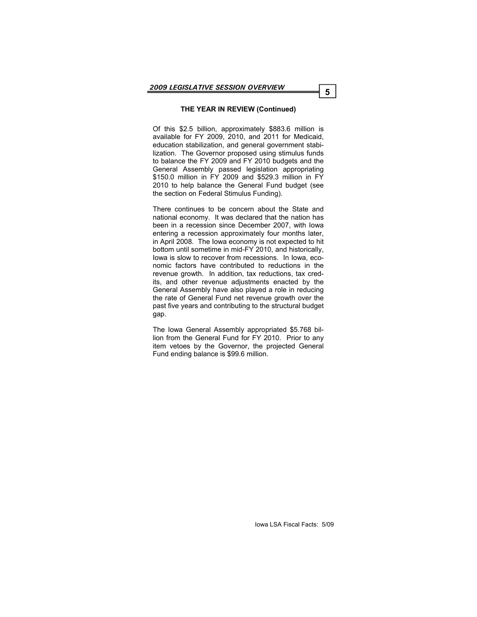# **THE YEAR IN REVIEW (Continued)**

Of this \$2.5 billion, approximately \$883.6 million is available for FY 2009, 2010, and 2011 for Medicaid, education stabilization, and general government stabilization. The Governor proposed using stimulus funds to balance the FY 2009 and FY 2010 budgets and the General Assembly passed legislation appropriating \$150.0 million in FY 2009 and \$529.3 million in FY 2010 to help balance the General Fund budget (see the section on Federal Stimulus Funding).

There continues to be concern about the State and national economy. It was declared that the nation has been in a recession since December 2007, with Iowa entering a recession approximately four months later, in April 2008. The Iowa economy is not expected to hit bottom until sometime in mid-FY 2010, and historically, Iowa is slow to recover from recessions. In Iowa, economic factors have contributed to reductions in the revenue growth. In addition, tax reductions, tax credits, and other revenue adjustments enacted by the General Assembly have also played a role in reducing the rate of General Fund net revenue growth over the past five years and contributing to the structural budget gap.

The Iowa General Assembly appropriated \$5.768 billion from the General Fund for FY 2010. Prior to any item vetoes by the Governor, the projected General Fund ending balance is \$99.6 million.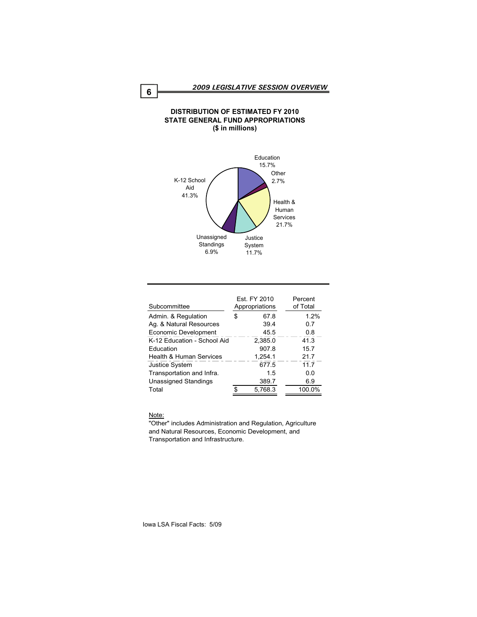# **DISTRIBUTION OF ESTIMATED FY 2010 STATE GENERAL FUND APPROPRIATIONS (\$ in millions)**



| Subcommittee                |    | Est. FY 2010<br>Appropriations | Percent<br>of Total |
|-----------------------------|----|--------------------------------|---------------------|
| Admin. & Regulation         | S. | 67.8                           | 1.2%                |
| Ag. & Natural Resources     |    | 39.4                           | 0.7                 |
| Economic Development        |    | 45.5                           | 0.8                 |
| K-12 Education - School Aid |    | 2,385.0                        | 41.3                |
| Education                   |    | 907.8                          | 15.7                |
| Health & Human Services     |    | 1.254.1                        | 21.7                |
| <b>Justice System</b>       |    | 677.5                          | 11.7                |
| Transportation and Infra.   |    | 15                             | 0.0                 |
| <b>Unassigned Standings</b> |    | 389.7                          | 6.9                 |
| Total                       |    | 5.768.3                        | 100.0%              |

#### Note:

"Other" includes Administration and Regulation, Agriculture and Natural Resources, Economic Development, and Transportation and Infrastructure.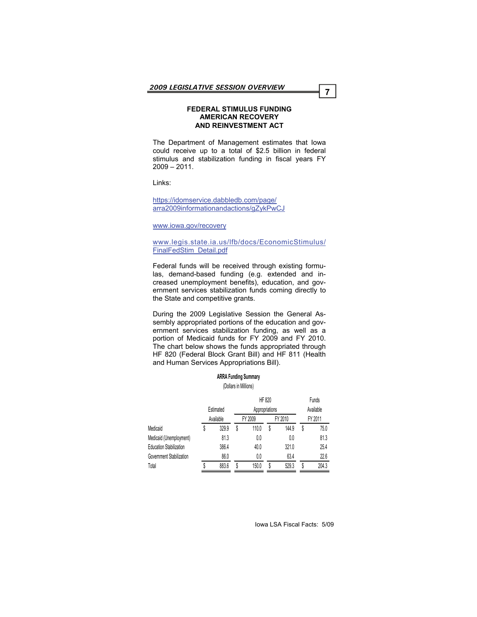#### **FEDERAL STIMULUS FUNDING AMERICAN RECOVERY AND REINVESTMENT ACT**

The Department of Management estimates that Iowa could receive up to a total of \$2.5 billion in federal stimulus and stabilization funding in fiscal years FY 2009 – 2011.

Links:

[https://idomservice.dabbledb.com/page/](https://idomservice.dabbledb.com/page/arra2009informationandactions/gZykPwCJ) [arra2009informationandactions/gZykPwCJ](https://idomservice.dabbledb.com/page/arra2009informationandactions/gZykPwCJ)

[www.iowa.gov/recovery](http://www.iowa.gov/recovery)

#### [www.legis.state.ia.us/lfb/docs/EconomicStimulus/](http://www.legis.state.ia.us/lfb/docs/EconomicStimulus/FinalFedStim_Detail.pdf) [FinalFedStim\\_Detail.pdf](http://www.legis.state.ia.us/lfb/docs/EconomicStimulus/FinalFedStim_Detail.pdf)

Federal funds will be received through existing formulas, demand-based funding (e.g. extended and increased unemployment benefits), education, and government services stabilization funds coming directly to the State and competitive grants.

During the 2009 Legislative Session the General Assembly appropriated portions of the education and government services stabilization funding, as well as a portion of Medicaid funds for FY 2009 and FY 2010. The chart below shows the funds appropriated through HF 820 (Federal Block Grant Bill) and HF 811 (Health and Human Services Appropriations Bill).

> **ARRA Funding Summary** (Dollars in Millions)

|                                | Estimated |   | <b>HF 820</b><br>Appropriations |   |       |         | Funds<br>Available |  |
|--------------------------------|-----------|---|---------------------------------|---|-------|---------|--------------------|--|
|                                | Available |   | FY 2010<br>FY 2009              |   |       | FY 2011 |                    |  |
| Medicaid                       | 329.9     | S | 110.0                           | S | 144.9 | S       | 75.0               |  |
| Medicaid (Unemployment)        | 81.3      |   | 0.0                             |   | 0.0   |         | 81.3               |  |
| <b>Education Stabilization</b> | 386.4     |   | 40.0                            |   | 321.0 |         | 25.4               |  |
| Government Stabilization       | 86.0      |   | 0.0                             |   | 63.4  |         | 22.6               |  |
| Total                          | 883.6     | S | 150.0                           | S | 529.3 | S       | 204.3              |  |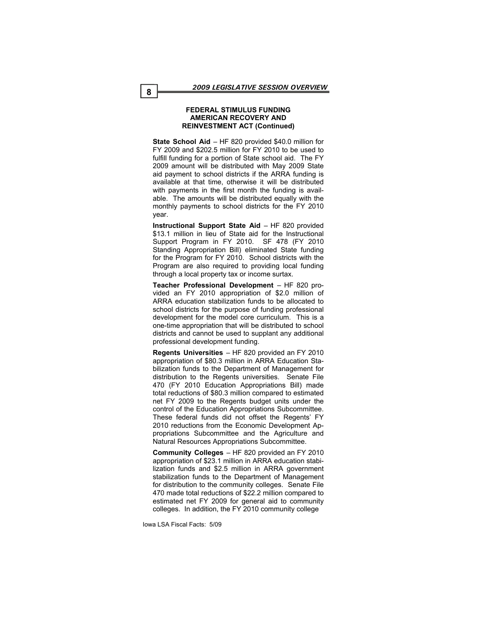#### **FEDERAL STIMULUS FUNDING AMERICAN RECOVERY AND REINVESTMENT ACT (Continued)**

**State School Aid** – HF 820 provided \$40.0 million for FY 2009 and \$202.5 million for FY 2010 to be used to fulfill funding for a portion of State school aid. The FY 2009 amount will be distributed with May 2009 State aid payment to school districts if the ARRA funding is available at that time, otherwise it will be distributed with payments in the first month the funding is available. The amounts will be distributed equally with the monthly payments to school districts for the FY 2010 year.

**Instructional Support State Aid** – HF 820 provided \$13.1 million in lieu of State aid for the Instructional Support Program in FY 2010. SF 478 (FY 2010 Standing Appropriation Bill) eliminated State funding for the Program for FY 2010. School districts with the Program are also required to providing local funding through a local property tax or income surtax.

**Teacher Professional Development** – HF 820 provided an FY 2010 appropriation of \$2.0 million of ARRA education stabilization funds to be allocated to school districts for the purpose of funding professional development for the model core curriculum. This is a one-time appropriation that will be distributed to school districts and cannot be used to supplant any additional professional development funding.

**Regents Universities** – HF 820 provided an FY 2010 appropriation of \$80.3 million in ARRA Education Stabilization funds to the Department of Management for distribution to the Regents universities. Senate File 470 (FY 2010 Education Appropriations Bill) made total reductions of \$80.3 million compared to estimated net FY 2009 to the Regents budget units under the control of the Education Appropriations Subcommittee. These federal funds did not offset the Regents' FY 2010 reductions from the Economic Development Appropriations Subcommittee and the Agriculture and Natural Resources Appropriations Subcommittee.

**Community Colleges** – HF 820 provided an FY 2010 appropriation of \$23.1 million in ARRA education stabilization funds and \$2.5 million in ARRA government stabilization funds to the Department of Management for distribution to the community colleges. Senate File 470 made total reductions of \$22.2 million compared to estimated net FY 2009 for general aid to community colleges. In addition, the FY 2010 community college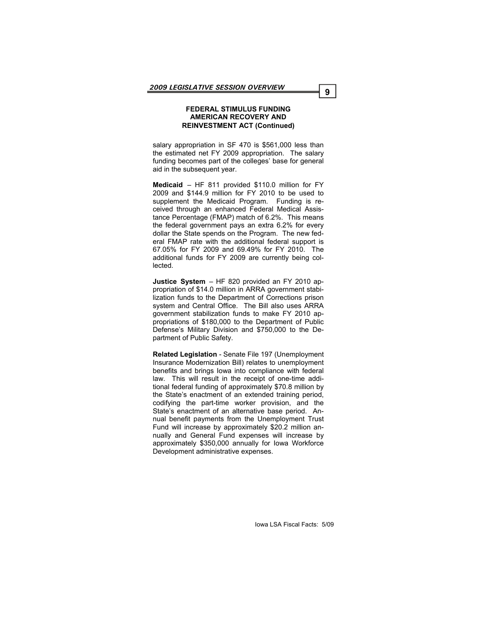#### **FEDERAL STIMULUS FUNDING AMERICAN RECOVERY AND REINVESTMENT ACT (Continued)**

salary appropriation in SF 470 is \$561,000 less than the estimated net FY 2009 appropriation. The salary funding becomes part of the colleges' base for general aid in the subsequent year.

**Medicaid** – HF 811 provided \$110.0 million for FY 2009 and \$144.9 million for FY 2010 to be used to supplement the Medicaid Program. Funding is received through an enhanced Federal Medical Assistance Percentage (FMAP) match of 6.2%. This means the federal government pays an extra 6.2% for every dollar the State spends on the Program. The new federal FMAP rate with the additional federal support is 67.05% for FY 2009 and 69.49% for FY 2010. The additional funds for FY 2009 are currently being collected.

**Justice System** – HF 820 provided an FY 2010 appropriation of \$14.0 million in ARRA government stabilization funds to the Department of Corrections prison system and Central Office. The Bill also uses ARRA government stabilization funds to make FY 2010 appropriations of \$180,000 to the Department of Public Defense's Military Division and \$750,000 to the Department of Public Safety.

**Related Legislation** - Senate File 197 (Unemployment Insurance Modernization Bill) relates to unemployment benefits and brings Iowa into compliance with federal law. This will result in the receipt of one-time additional federal funding of approximately \$70.8 million by the State's enactment of an extended training period, codifying the part-time worker provision, and the State's enactment of an alternative base period. Annual benefit payments from the Unemployment Trust Fund will increase by approximately \$20.2 million annually and General Fund expenses will increase by approximately \$350,000 annually for Iowa Workforce Development administrative expenses.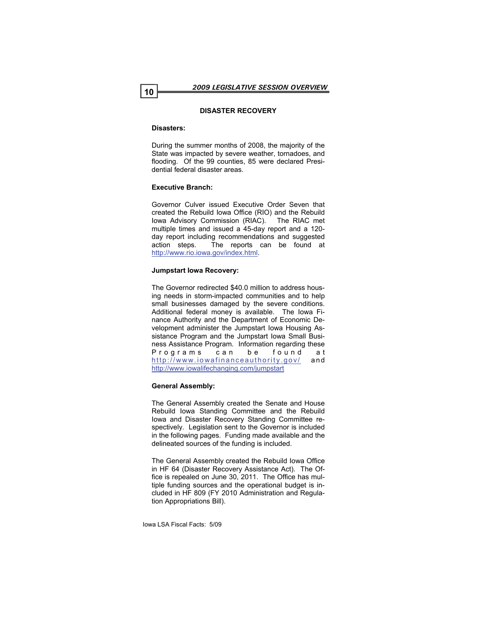# **DISASTER RECOVERY**

# **Disasters:**

During the summer months of 2008, the majority of the State was impacted by severe weather, tornadoes, and flooding. Of the 99 counties, 85 were declared Presidential federal disaster areas.

# **Executive Branch:**

Governor Culver issued Executive Order Seven that created the Rebuild Iowa Office (RIO) and the Rebuild Iowa Advisory Commission (RIAC). The RIAC met multiple times and issued a 45-day report and a 120 day report including recommendations and suggested action steps. The reports can be found at <http://www.rio.iowa.gov/index.html>.

# **Jumpstart Iowa Recovery:**

The Governor redirected \$40.0 million to address housing needs in storm-impacted communities and to help small businesses damaged by the severe conditions. Additional federal money is available. The Iowa Finance Authority and the Department of Economic Development administer the Jumpstart Iowa Housing Assistance Program and the Jumpstart Iowa Small Business Assistance Program. Information regarding these Programs can be found at <http://www.iowafinanceauthority.gov/>a nd [http://www.iowalifechanging.com/jumpstart](http://www.iowalifechanging.com/flood.html)

# **General Assembly:**

The General Assembly created the Senate and House Rebuild Iowa Standing Committee and the Rebuild Iowa and Disaster Recovery Standing Committee respectively. Legislation sent to the Governor is included in the following pages. Funding made available and the delineated sources of the funding is included.

The General Assembly created the Rebuild Iowa Office in HF 64 (Disaster Recovery Assistance Act). The Office is repealed on June 30, 2011. The Office has multiple funding sources and the operational budget is included in HF 809 (FY 2010 Administration and Regulation Appropriations Bill).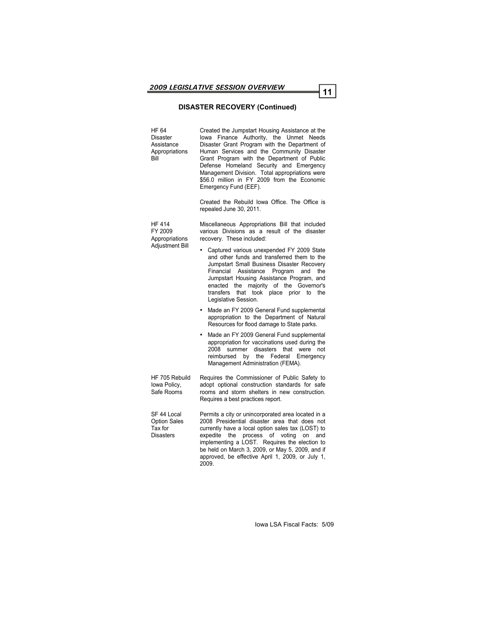# **DISASTER RECOVERY (Continued)**

| HF 64<br>Disaster<br>Assistance<br>Appropriations<br>Bill         | Created the Jumpstart Housing Assistance at the<br>lowa Finance Authority, the Unmet Needs<br>Disaster Grant Program with the Department of<br>Human Services and the Community Disaster<br>Grant Program with the Department of Public<br>Defense Homeland Security and Emergency<br>Management Division. Total appropriations were<br>\$56.0 million in FY 2009 from the Economic<br>Emergency Fund (EEF). |
|-------------------------------------------------------------------|--------------------------------------------------------------------------------------------------------------------------------------------------------------------------------------------------------------------------------------------------------------------------------------------------------------------------------------------------------------------------------------------------------------|
|                                                                   | Created the Rebuild Iowa Office. The Office is<br>repealed June 30, 2011.                                                                                                                                                                                                                                                                                                                                    |
| <b>HF 414</b><br>FY 2009<br>Appropriations                        | Miscellaneous Appropriations Bill that included<br>various Divisions as a result of the disaster<br>recovery. These included:                                                                                                                                                                                                                                                                                |
| <b>Adjustment Bill</b>                                            | Captured various unexpended FY 2009 State<br>۰<br>and other funds and transferred them to the<br>Jumpstart Small Business Disaster Recovery<br>Assistance<br>Program<br>Financial<br>and<br>the<br>Jumpstart Housing Assistance Program, and<br>majority of the Governor's<br>enacted<br>the<br>transfers<br>that took place<br>prior<br>the<br>to<br>Legislative Session.                                   |
|                                                                   | Made an FY 2009 General Fund supplemental<br>٠<br>appropriation to the Department of Natural<br>Resources for flood damage to State parks.                                                                                                                                                                                                                                                                   |
|                                                                   | Made an FY 2009 General Fund supplemental<br>٠<br>appropriation for vaccinations used during the<br>2008<br>disasters<br>that<br>summer<br>were<br>not<br>reimbursed<br>Federal<br>bv<br>the<br>Emergency<br>Management Administration (FEMA).                                                                                                                                                               |
| HF 705 Rebuild<br>Iowa Policy,<br>Safe Rooms                      | Requires the Commissioner of Public Safety to<br>adopt optional construction standards for safe<br>rooms and storm shelters in new construction.<br>Requires a best practices report.                                                                                                                                                                                                                        |
| SF 44 Local<br><b>Option Sales</b><br>Tax for<br><b>Disasters</b> | Permits a city or unincorporated area located in a<br>2008 Presidential disaster area that does not<br>currently have a local option sales tax (LOST) to<br>process of<br>voting<br>expedite<br>the<br>and<br>on<br>implementing a LOST. Requires the election to<br>be held on March 3, 2009, or May 5, 2009, and if<br>approved, be effective April 1, 2009, or July 1,<br>2009.                           |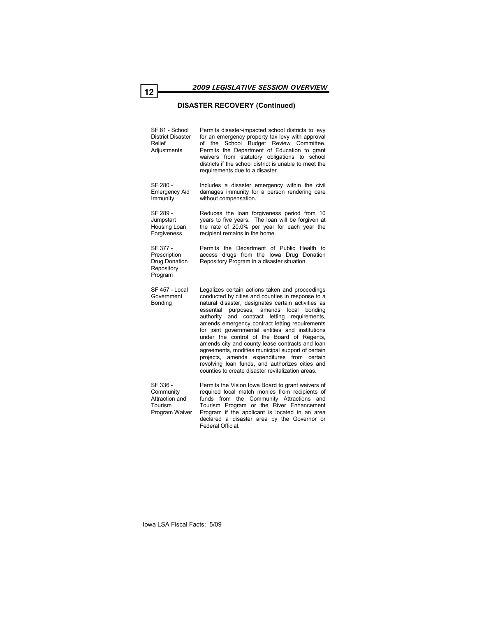#### **DISASTER RECOVERY (Continued)**

SF 81 - School District Disaster Relief Adjustments

Program

Permits disaster-impacted school districts to levy for an emergency property tax levy with approval of the School Budget Review Committee. Permits the Department of Education to grant waivers from statutory obligations to school districts if the school district is unable to meet the requirements due to a disaster.

SF 280 - Emergency Aid Immunity Includes a disaster emergency within the civil damages immunity for a person rendering care without compensation.

SF 289 - **Jumpstart** Housing Loan Forgiveness Reduces the loan forgiveness period from 10 years to five years. The loan will be forgiven at the rate of 20.0% per year for each year the recipient remains in the home.

SF 377 - Prescription Drug Donation **Repository** Permits the Department of Public Health to access drugs from the Iowa Drug Donation Repository Program in a disaster situation.

SF 457 - Local Government Bonding Legalizes certain actions taken and proceedings conducted by cities and counties in response to a natural disaster, designates certain activities as essential purposes, amends local bonding authority and contract letting requirements, amends emergency contract letting requirements for joint governmental entities and institutions under the control of the Board of Regents, amends city and county lease contracts and loan agreements, modifies municipal support of certain projects, amends expenditures from certain revolving loan funds, and authorizes cities and counties to create disaster revitalization areas.

SF 336 - Community Attraction and Tourism Program Waiver Permits the Vision Iowa Board to grant waivers of required local match monies from recipients of funds from the Community Attractions and Tourism Program or the River Enhancement Program if the applicant is located in an area declared a disaster area by the Governor or Federal Official.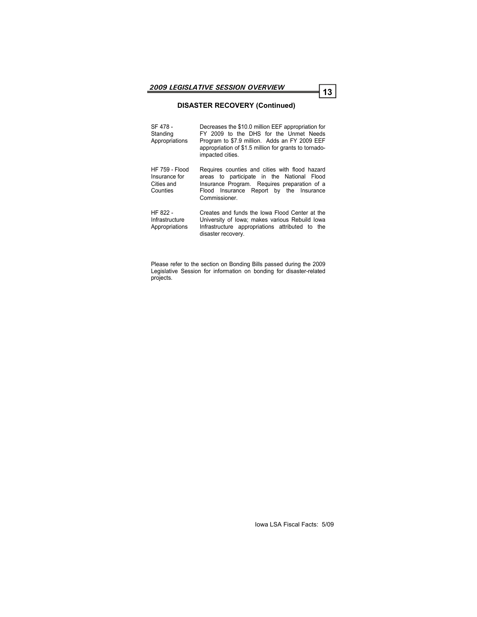# **DISASTER RECOVERY (Continued)**

| SF 478 -<br>Standing<br>Appropriations                           | Decreases the \$10.0 million EEF appropriation for<br>FY 2009 to the DHS for the Unmet Needs<br>Program to \$7.9 million. Adds an FY 2009 EEF<br>appropriation of \$1.5 million for grants to tornado-<br>impacted cities. |
|------------------------------------------------------------------|----------------------------------------------------------------------------------------------------------------------------------------------------------------------------------------------------------------------------|
| <b>HF 759 - Flood</b><br>Insurance for<br>Cities and<br>Counties | Requires counties and cities with flood hazard<br>areas to participate in the National Flood<br>Insurance Program. Requires preparation of a<br>Flood Insurance Report by the Insurance<br>Commissioner.                   |
| HF 822 -<br>Infrastructure<br>Appropriations                     | Creates and funds the lowa Flood Center at the<br>University of Iowa; makes various Rebuild Iowa<br>Infrastructure appropriations attributed to the<br>disaster recovery.                                                  |

Please refer to the section on Bonding Bills passed during the 2009 Legislative Session for information on bonding for disaster-related projects.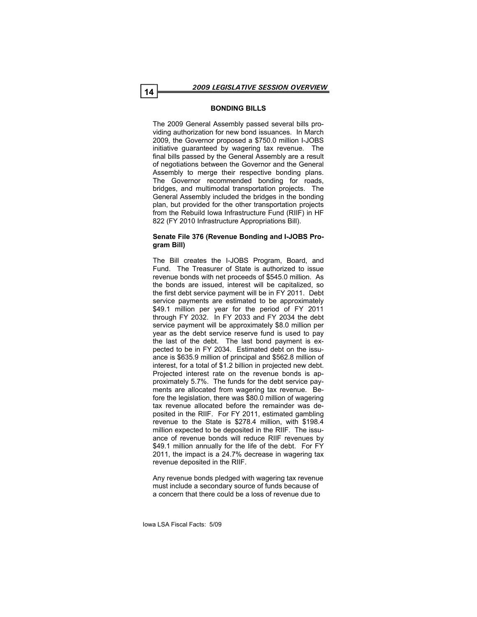# **BONDING BILLS**

The 2009 General Assembly passed several bills providing authorization for new bond issuances. In March 2009, the Governor proposed a \$750.0 million I-JOBS initiative guaranteed by wagering tax revenue. The final bills passed by the General Assembly are a result of negotiations between the Governor and the General Assembly to merge their respective bonding plans. The Governor recommended bonding for roads, bridges, and multimodal transportation projects. The General Assembly included the bridges in the bonding plan, but provided for the other transportation projects from the Rebuild Iowa Infrastructure Fund (RIIF) in HF 822 (FY 2010 Infrastructure Appropriations Bill).

#### **Senate File 376 (Revenue Bonding and I-JOBS Program Bill)**

The Bill creates the I-JOBS Program, Board, and Fund. The Treasurer of State is authorized to issue revenue bonds with net proceeds of \$545.0 million. As the bonds are issued, interest will be capitalized, so the first debt service payment will be in FY 2011. Debt service payments are estimated to be approximately \$49.1 million per year for the period of FY 2011 through FY 2032. In FY 2033 and FY 2034 the debt service payment will be approximately \$8.0 million per year as the debt service reserve fund is used to pay the last of the debt. The last bond payment is expected to be in FY 2034. Estimated debt on the issuance is \$635.9 million of principal and \$562.8 million of interest, for a total of \$1.2 billion in projected new debt. Projected interest rate on the revenue bonds is approximately 5.7%. The funds for the debt service payments are allocated from wagering tax revenue. Before the legislation, there was \$80.0 million of wagering tax revenue allocated before the remainder was deposited in the RIIF. For FY 2011, estimated gambling revenue to the State is \$278.4 million, with \$198.4 million expected to be deposited in the RIIF. The issuance of revenue bonds will reduce RIIF revenues by \$49.1 million annually for the life of the debt. For FY 2011, the impact is a 24.7% decrease in wagering tax revenue deposited in the RIIF.

Any revenue bonds pledged with wagering tax revenue must include a secondary source of funds because of a concern that there could be a loss of revenue due to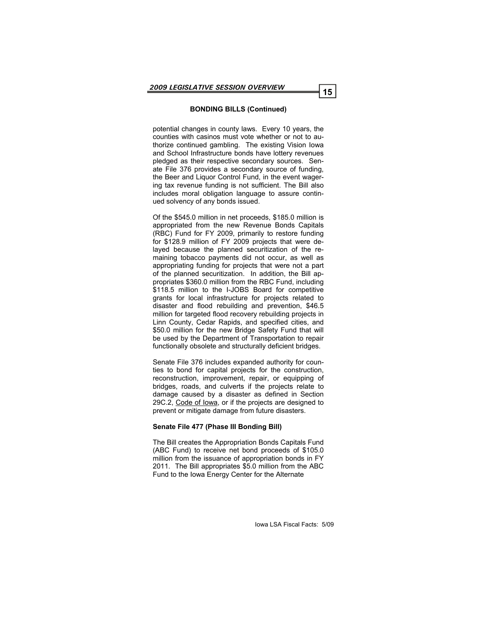potential changes in county laws. Every 10 years, the counties with casinos must vote whether or not to authorize continued gambling. The existing Vision Iowa and School Infrastructure bonds have lottery revenues pledged as their respective secondary sources. Senate File 376 provides a secondary source of funding, the Beer and Liquor Control Fund, in the event wagering tax revenue funding is not sufficient. The Bill also includes moral obligation language to assure continued solvency of any bonds issued.

Of the \$545.0 million in net proceeds, \$185.0 million is appropriated from the new Revenue Bonds Capitals (RBC) Fund for FY 2009, primarily to restore funding for \$128.9 million of FY 2009 projects that were delayed because the planned securitization of the remaining tobacco payments did not occur, as well as appropriating funding for projects that were not a part of the planned securitization. In addition, the Bill appropriates \$360.0 million from the RBC Fund, including \$118.5 million to the I-JOBS Board for competitive grants for local infrastructure for projects related to disaster and flood rebuilding and prevention, \$46.5 million for targeted flood recovery rebuilding projects in Linn County, Cedar Rapids, and specified cities, and \$50.0 million for the new Bridge Safety Fund that will be used by the Department of Transportation to repair functionally obsolete and structurally deficient bridges.

Senate File 376 includes expanded authority for counties to bond for capital projects for the construction, reconstruction, improvement, repair, or equipping of bridges, roads, and culverts if the projects relate to damage caused by a disaster as defined in Section 29C.2, Code of Iowa, or if the projects are designed to prevent or mitigate damage from future disasters.

#### **Senate File 477 (Phase III Bonding Bill)**

The Bill creates the Appropriation Bonds Capitals Fund (ABC Fund) to receive net bond proceeds of \$105.0 million from the issuance of appropriation bonds in FY 2011. The Bill appropriates \$5.0 million from the ABC Fund to the Iowa Energy Center for the Alternate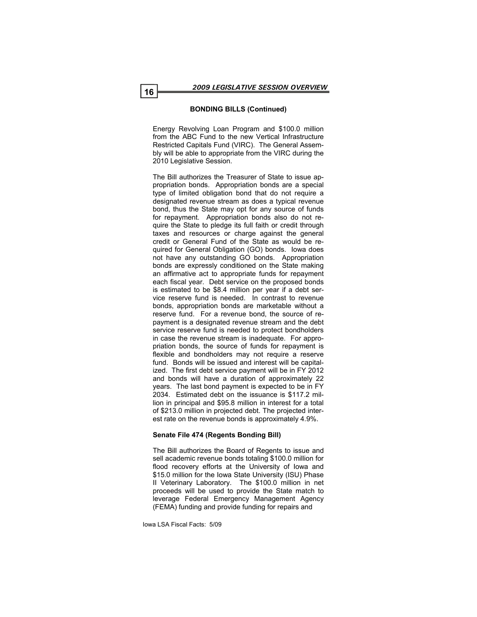Energy Revolving Loan Program and \$100.0 million from the ABC Fund to the new Vertical Infrastructure Restricted Capitals Fund (VIRC). The General Assembly will be able to appropriate from the VIRC during the 2010 Legislative Session.

The Bill authorizes the Treasurer of State to issue appropriation bonds. Appropriation bonds are a special type of limited obligation bond that do not require a designated revenue stream as does a typical revenue bond, thus the State may opt for any source of funds for repayment. Appropriation bonds also do not require the State to pledge its full faith or credit through taxes and resources or charge against the general credit or General Fund of the State as would be required for General Obligation (GO) bonds. Iowa does not have any outstanding GO bonds. Appropriation bonds are expressly conditioned on the State making an affirmative act to appropriate funds for repayment each fiscal year. Debt service on the proposed bonds is estimated to be \$8.4 million per year if a debt service reserve fund is needed. In contrast to revenue bonds, appropriation bonds are marketable without a reserve fund. For a revenue bond, the source of repayment is a designated revenue stream and the debt service reserve fund is needed to protect bondholders in case the revenue stream is inadequate. For appropriation bonds, the source of funds for repayment is flexible and bondholders may not require a reserve fund. Bonds will be issued and interest will be capitalized. The first debt service payment will be in FY 2012 and bonds will have a duration of approximately 22 years. The last bond payment is expected to be in FY 2034. Estimated debt on the issuance is \$117.2 million in principal and \$95.8 million in interest for a total of \$213.0 million in projected debt. The projected interest rate on the revenue bonds is approximately 4.9%.

# **Senate File 474 (Regents Bonding Bill)**

The Bill authorizes the Board of Regents to issue and sell academic revenue bonds totaling \$100.0 million for flood recovery efforts at the University of Iowa and \$15.0 million for the Iowa State University (ISU) Phase II Veterinary Laboratory. The \$100.0 million in net proceeds will be used to provide the State match to leverage Federal Emergency Management Agency (FEMA) funding and provide funding for repairs and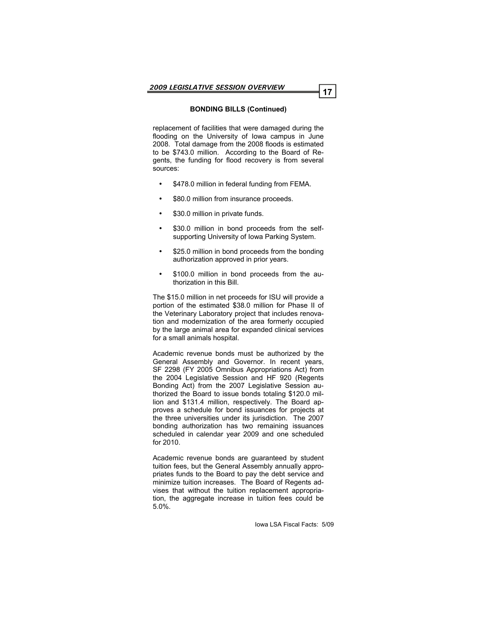replacement of facilities that were damaged during the flooding on the University of Iowa campus in June 2008. Total damage from the 2008 floods is estimated to be \$743.0 million. According to the Board of Regents, the funding for flood recovery is from several sources:

- \$478.0 million in federal funding from FEMA.
- \$80.0 million from insurance proceeds.
- \$30.0 million in private funds.
- \$30.0 million in bond proceeds from the selfsupporting University of Iowa Parking System.
- \$25.0 million in bond proceeds from the bonding authorization approved in prior years.
- $\bullet$  \$100.0 million in bond proceeds from the authorization in this Bill.

The \$15.0 million in net proceeds for ISU will provide a portion of the estimated \$38.0 million for Phase II of the Veterinary Laboratory project that includes renovation and modernization of the area formerly occupied by the large animal area for expanded clinical services for a small animals hospital.

Academic revenue bonds must be authorized by the General Assembly and Governor. In recent years, SF 2298 (FY 2005 Omnibus Appropriations Act) from the 2004 Legislative Session and HF 920 (Regents Bonding Act) from the 2007 Legislative Session authorized the Board to issue bonds totaling \$120.0 million and \$131.4 million, respectively. The Board approves a schedule for bond issuances for projects at the three universities under its jurisdiction. The 2007 bonding authorization has two remaining issuances scheduled in calendar year 2009 and one scheduled for 2010.

Academic revenue bonds are guaranteed by student tuition fees, but the General Assembly annually appropriates funds to the Board to pay the debt service and minimize tuition increases. The Board of Regents advises that without the tuition replacement appropriation, the aggregate increase in tuition fees could be 5.0%.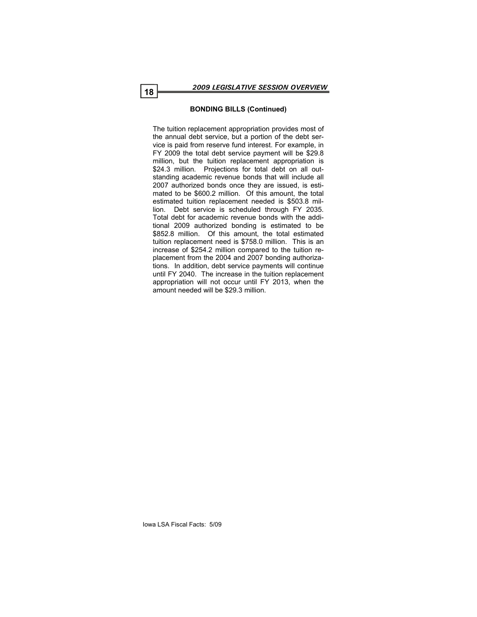The tuition replacement appropriation provides most of the annual debt service, but a portion of the debt service is paid from reserve fund interest. For example, in FY 2009 the total debt service payment will be \$29.8 million, but the tuition replacement appropriation is \$24.3 million. Projections for total debt on all outstanding academic revenue bonds that will include all 2007 authorized bonds once they are issued, is estimated to be \$600.2 million. Of this amount, the total estimated tuition replacement needed is \$503.8 million. Debt service is scheduled through FY 2035. Total debt for academic revenue bonds with the additional 2009 authorized bonding is estimated to be \$852.8 million. Of this amount, the total estimated tuition replacement need is \$758.0 million. This is an increase of \$254.2 million compared to the tuition replacement from the 2004 and 2007 bonding authorizations. In addition, debt service payments will continue until FY 2040. The increase in the tuition replacement appropriation will not occur until FY 2013, when the amount needed will be \$29.3 million.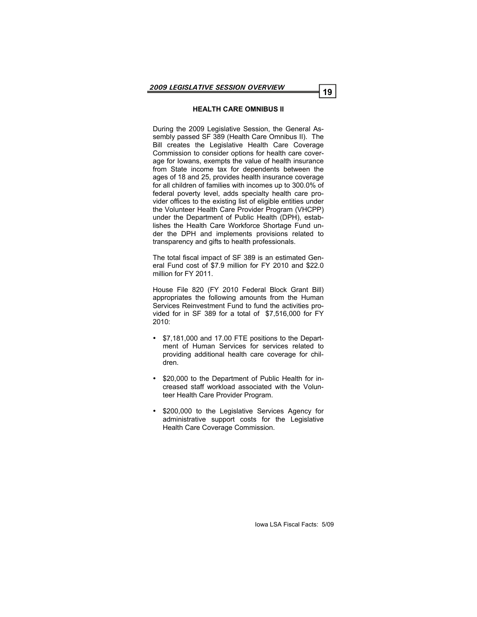#### **HEALTH CARE OMNIBUS II**

During the 2009 Legislative Session, the General Assembly passed SF 389 (Health Care Omnibus II). The Bill creates the Legislative Health Care Coverage Commission to consider options for health care coverage for Iowans, exempts the value of health insurance from State income tax for dependents between the ages of 18 and 25, provides health insurance coverage for all children of families with incomes up to 300.0% of federal poverty level, adds specialty health care provider offices to the existing list of eligible entities under the Volunteer Health Care Provider Program (VHCPP) under the Department of Public Health (DPH), establishes the Health Care Workforce Shortage Fund under the DPH and implements provisions related to transparency and gifts to health professionals.

The total fiscal impact of SF 389 is an estimated General Fund cost of \$7.9 million for FY 2010 and \$22.0 million for FY 2011.

House File 820 (FY 2010 Federal Block Grant Bill) appropriates the following amounts from the Human Services Reinvestment Fund to fund the activities provided for in SF 389 for a total of \$7,516,000 for FY 2010:

- \$7,181,000 and 17.00 FTE positions to the Department of Human Services for services related to providing additional health care coverage for children.
- \$20,000 to the Department of Public Health for increased staff workload associated with the Volunteer Health Care Provider Program.
- \$200,000 to the Legislative Services Agency for administrative support costs for the Legislative Health Care Coverage Commission.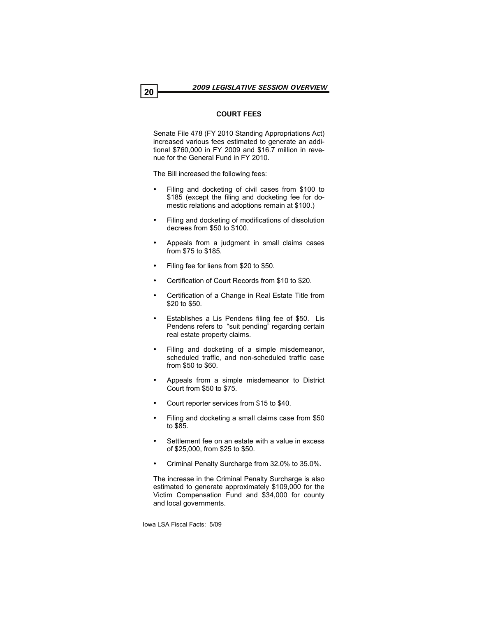# **COURT FEES**

Senate File 478 (FY 2010 Standing Appropriations Act) increased various fees estimated to generate an additional \$760,000 in FY 2009 and \$16.7 million in revenue for the General Fund in FY 2010.

The Bill increased the following fees:

- Filing and docketing of civil cases from \$100 to \$185 (except the filing and docketing fee for domestic relations and adoptions remain at \$100.)
- Filing and docketing of modifications of dissolution decrees from \$50 to \$100.
- Appeals from a judgment in small claims cases from \$75 to \$185.
- Filing fee for liens from \$20 to \$50.
- Certification of Court Records from \$10 to \$20.
- Certification of a Change in Real Estate Title from \$20 to \$50.
- Establishes a Lis Pendens filing fee of \$50. Lis Pendens refers to "suit pending" regarding certain real estate property claims.
- Filing and docketing of a simple misdemeanor, scheduled traffic, and non-scheduled traffic case from \$50 to \$60.
- Appeals from a simple misdemeanor to District Court from \$50 to \$75.
- Court reporter services from \$15 to \$40.
- Filing and docketing a small claims case from \$50 to \$85.
- Settlement fee on an estate with a value in excess of \$25,000, from \$25 to \$50.
- Criminal Penalty Surcharge from 32.0% to 35.0%.

The increase in the Criminal Penalty Surcharge is also estimated to generate approximately \$109,000 for the Victim Compensation Fund and \$34,000 for county and local governments.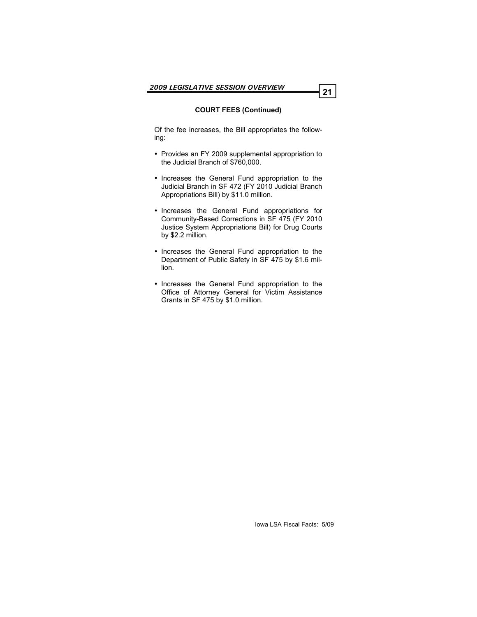# **COURT FEES (Continued)**

Of the fee increases, the Bill appropriates the following:

- Provides an FY 2009 supplemental appropriation to the Judicial Branch of \$760,000.
- Increases the General Fund appropriation to the Judicial Branch in SF 472 (FY 2010 Judicial Branch Appropriations Bill) by \$11.0 million.
- Increases the General Fund appropriations for Community-Based Corrections in SF 475 (FY 2010 Justice System Appropriations Bill) for Drug Courts by \$2.2 million.
- Increases the General Fund appropriation to the Department of Public Safety in SF 475 by \$1.6 million.
- Increases the General Fund appropriation to the Office of Attorney General for Victim Assistance Grants in SF 475 by \$1.0 million.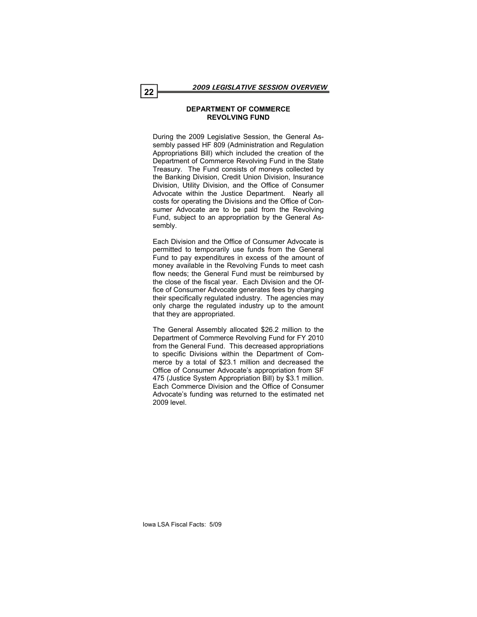#### **DEPARTMENT OF COMMERCE REVOLVING FUND**

During the 2009 Legislative Session, the General Assembly passed HF 809 (Administration and Regulation Appropriations Bill) which included the creation of the Department of Commerce Revolving Fund in the State Treasury. The Fund consists of moneys collected by the Banking Division, Credit Union Division, Insurance Division, Utility Division, and the Office of Consumer Advocate within the Justice Department. Nearly all costs for operating the Divisions and the Office of Consumer Advocate are to be paid from the Revolving Fund, subject to an appropriation by the General Assembly.

Each Division and the Office of Consumer Advocate is permitted to temporarily use funds from the General Fund to pay expenditures in excess of the amount of money available in the Revolving Funds to meet cash flow needs; the General Fund must be reimbursed by the close of the fiscal year. Each Division and the Office of Consumer Advocate generates fees by charging their specifically regulated industry. The agencies may only charge the regulated industry up to the amount that they are appropriated.

The General Assembly allocated \$26.2 million to the Department of Commerce Revolving Fund for FY 2010 from the General Fund. This decreased appropriations to specific Divisions within the Department of Commerce by a total of \$23.1 million and decreased the Office of Consumer Advocate's appropriation from SF 475 (Justice System Appropriation Bill) by \$3.1 million. Each Commerce Division and the Office of Consumer Advocate's funding was returned to the estimated net 2009 level.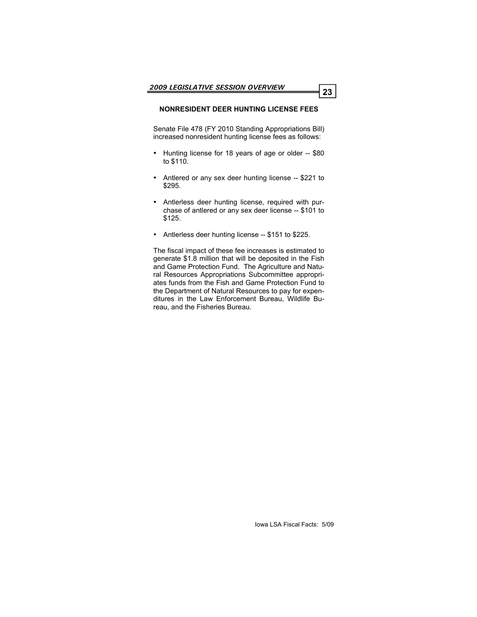# **NONRESIDENT DEER HUNTING LICENSE FEES**

Senate File 478 (FY 2010 Standing Appropriations Bill) increased nonresident hunting license fees as follows:

- Hunting license for 18 years of age or older -- \$80 to \$110.
- Antlered or any sex deer hunting license -- \$221 to \$295.
- Antlerless deer hunting license, required with purchase of antlered or any sex deer license -- \$101 to \$125.
- Antlerless deer hunting license -- \$151 to \$225.

The fiscal impact of these fee increases is estimated to generate \$1.8 million that will be deposited in the Fish and Game Protection Fund. The Agriculture and Natural Resources Appropriations Subcommittee appropriates funds from the Fish and Game Protection Fund to the Department of Natural Resources to pay for expenditures in the Law Enforcement Bureau, Wildlife Bureau, and the Fisheries Bureau.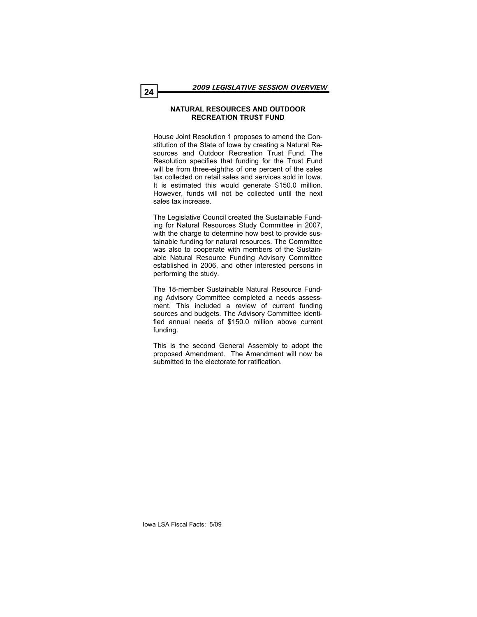#### **NATURAL RESOURCES AND OUTDOOR RECREATION TRUST FUND**

House Joint Resolution 1 proposes to amend the Constitution of the State of Iowa by creating a Natural Resources and Outdoor Recreation Trust Fund. The Resolution specifies that funding for the Trust Fund will be from three-eighths of one percent of the sales tax collected on retail sales and services sold in Iowa. It is estimated this would generate \$150.0 million. However, funds will not be collected until the next sales tax increase.

The Legislative Council created the Sustainable Funding for Natural Resources Study Committee in 2007, with the charge to determine how best to provide sustainable funding for natural resources. The Committee was also to cooperate with members of the Sustainable Natural Resource Funding Advisory Committee established in 2006, and other interested persons in performing the study.

The 18-member Sustainable Natural Resource Funding Advisory Committee completed a needs assessment. This included a review of current funding sources and budgets. The Advisory Committee identified annual needs of \$150.0 million above current funding.

This is the second General Assembly to adopt the proposed Amendment. The Amendment will now be submitted to the electorate for ratification.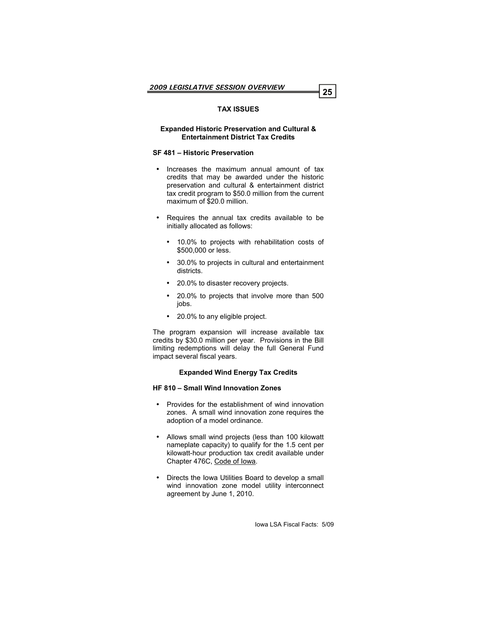# **TAX ISSUES**

#### **Expanded Historic Preservation and Cultural & Entertainment District Tax Credits**

#### **SF 481 – Historic Preservation**

- Increases the maximum annual amount of tax credits that may be awarded under the historic preservation and cultural & entertainment district tax credit program to \$50.0 million from the current maximum of \$20.0 million.
- Requires the annual tax credits available to be initially allocated as follows:
	- 10.0% to projects with rehabilitation costs of \$500,000 or less.
	- 30.0% to projects in cultural and entertainment districts.
	- 20.0% to disaster recovery projects.
	- 20.0% to projects that involve more than 500 jobs.
	- 20.0% to any eligible project.

The program expansion will increase available tax credits by \$30.0 million per year. Provisions in the Bill limiting redemptions will delay the full General Fund impact several fiscal years.

# **Expanded Wind Energy Tax Credits**

#### **HF 810 – Small Wind Innovation Zones**

- Provides for the establishment of wind innovation zones. A small wind innovation zone requires the adoption of a model ordinance.
- Allows small wind projects (less than 100 kilowatt nameplate capacity) to qualify for the 1.5 cent per kilowatt-hour production tax credit available under Chapter 476C, Code of Iowa.
- Directs the Iowa Utilities Board to develop a small wind innovation zone model utility interconnect agreement by June 1, 2010.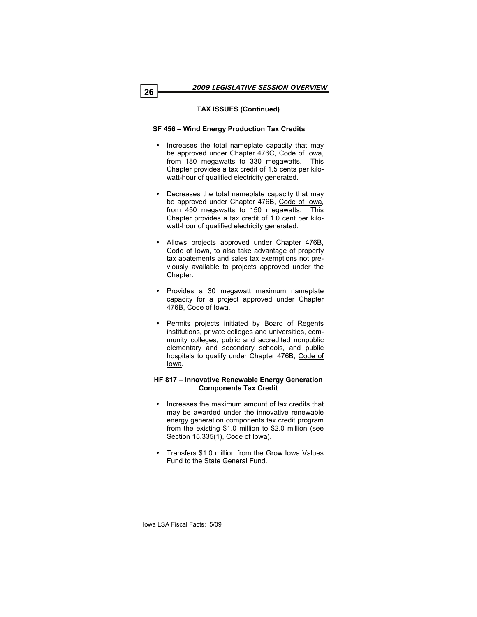# **TAX ISSUES (Continued)**

# **SF 456 – Wind Energy Production Tax Credits**

- Increases the total nameplate capacity that may be approved under Chapter 476C, Code of Iowa, from 180 megawatts to 330 megawatts. This Chapter provides a tax credit of 1.5 cents per kilowatt-hour of qualified electricity generated.
- Decreases the total nameplate capacity that may be approved under Chapter 476B, Code of Iowa, from 450 megawatts to 150 megawatts. This Chapter provides a tax credit of 1.0 cent per kilowatt-hour of qualified electricity generated.
- Allows projects approved under Chapter 476B, Code of Iowa, to also take advantage of property tax abatements and sales tax exemptions not previously available to projects approved under the Chapter.
- Provides a 30 megawatt maximum nameplate capacity for a project approved under Chapter 476B, Code of Iowa.
- Permits projects initiated by Board of Regents institutions, private colleges and universities, community colleges, public and accredited nonpublic elementary and secondary schools, and public hospitals to qualify under Chapter 476B, Code of Iowa.

#### **HF 817 – Innovative Renewable Energy Generation Components Tax Credit**

- Increases the maximum amount of tax credits that may be awarded under the innovative renewable energy generation components tax credit program from the existing \$1.0 million to \$2.0 million (see Section 15.335(1), Code of Iowa).
- Transfers \$1.0 million from the Grow Iowa Values Fund to the State General Fund.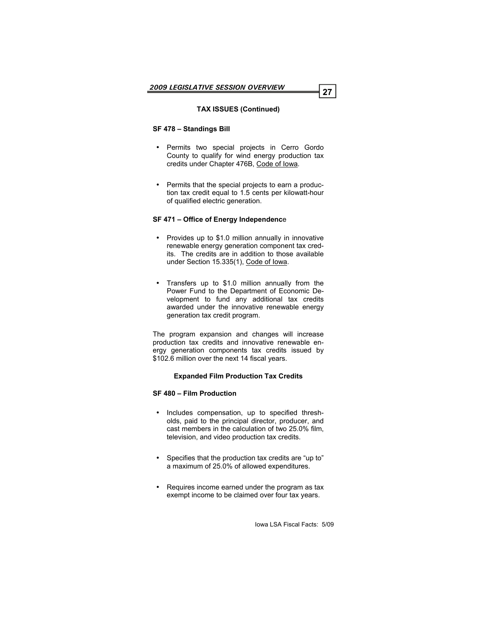# **TAX ISSUES (Continued)**

#### **SF 478 – Standings Bill**

- Permits two special projects in Cerro Gordo County to qualify for wind energy production tax credits under Chapter 476B, Code of Iowa.
- Permits that the special projects to earn a production tax credit equal to 1.5 cents per kilowatt-hour of qualified electric generation.

#### **SF 471 – Office of Energy Independenc**e

- Provides up to \$1.0 million annually in innovative renewable energy generation component tax credits. The credits are in addition to those available under Section 15.335(1), Code of Iowa.
- Transfers up to \$1.0 million annually from the Power Fund to the Department of Economic Development to fund any additional tax credits awarded under the innovative renewable energy generation tax credit program.

The program expansion and changes will increase production tax credits and innovative renewable energy generation components tax credits issued by \$102.6 million over the next 14 fiscal years.

#### **Expanded Film Production Tax Credits**

#### **SF 480 – Film Production**

- Includes compensation, up to specified thresholds, paid to the principal director, producer, and cast members in the calculation of two 25.0% film, television, and video production tax credits.
- Specifies that the production tax credits are "up to" a maximum of 25.0% of allowed expenditures.
- Requires income earned under the program as tax exempt income to be claimed over four tax years.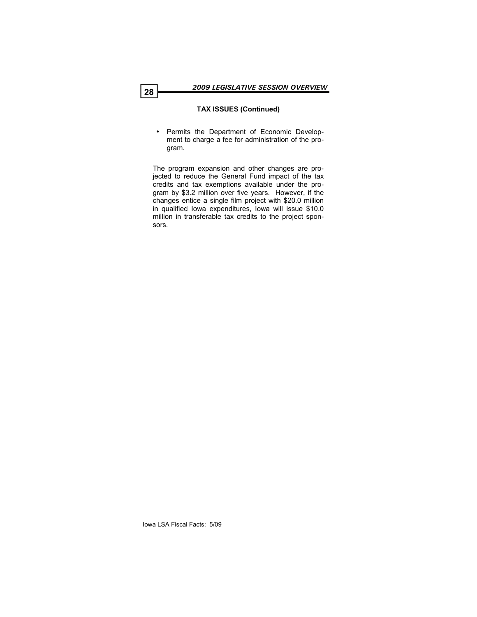# **TAX ISSUES (Continued)**

 Permits the Department of Economic Development to charge a fee for administration of the program.

The program expansion and other changes are projected to reduce the General Fund impact of the tax credits and tax exemptions available under the program by \$3.2 million over five years. However, if the changes entice a single film project with \$20.0 million in qualified Iowa expenditures, Iowa will issue \$10.0 million in transferable tax credits to the project sponsors.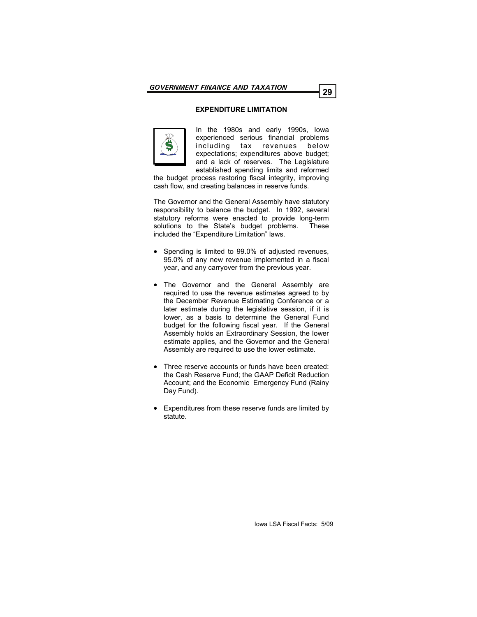# **EXPENDITURE LIMITATION**



In the 1980s and early 1990s, Iowa experienced serious financial problems including tax revenues below expectations; expenditures above budget; and a lack of reserves. The Legislature established spending limits and reformed

the budget process restoring fiscal integrity, improving cash flow, and creating balances in reserve funds.

The Governor and the General Assembly have statutory responsibility to balance the budget. In 1992, several statutory reforms were enacted to provide long-term solutions to the State's budget problems. These included the "Expenditure Limitation" laws.

- Spending is limited to 99.0% of adjusted revenues, 95.0% of any new revenue implemented in a fiscal year, and any carryover from the previous year.
- The Governor and the General Assembly are required to use the revenue estimates agreed to by the December Revenue Estimating Conference or a later estimate during the legislative session, if it is lower, as a basis to determine the General Fund budget for the following fiscal year. If the General Assembly holds an Extraordinary Session, the lower estimate applies, and the Governor and the General Assembly are required to use the lower estimate.
- Three reserve accounts or funds have been created: the Cash Reserve Fund; the GAAP Deficit Reduction Account; and the Economic Emergency Fund (Rainy Day Fund).
- Expenditures from these reserve funds are limited by statute.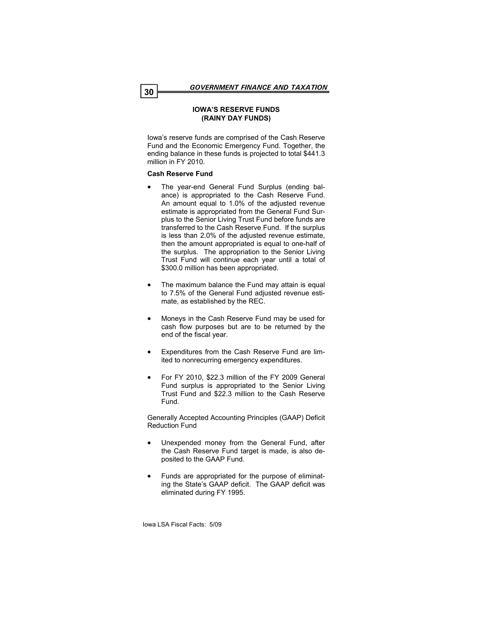#### **IOWA'S RESERVE FUNDS (RAINY DAY FUNDS)**

Iowa's reserve funds are comprised of the Cash Reserve Fund and the Economic Emergency Fund. Together, the ending balance in these funds is projected to total \$441.3 million in FY 2010.

# **Cash Reserve Fund**

- The year-end General Fund Surplus (ending balance) is appropriated to the Cash Reserve Fund. An amount equal to 1.0% of the adjusted revenue estimate is appropriated from the General Fund Surplus to the Senior Living Trust Fund before funds are transferred to the Cash Reserve Fund. If the surplus is less than 2.0% of the adjusted revenue estimate, then the amount appropriated is equal to one-half of the surplus. The appropriation to the Senior Living Trust Fund will continue each year until a total of \$300.0 million has been appropriated.
- The maximum balance the Fund may attain is equal to 7.5% of the General Fund adjusted revenue estimate, as established by the REC.
- Moneys in the Cash Reserve Fund may be used for cash flow purposes but are to be returned by the end of the fiscal year.
- Expenditures from the Cash Reserve Fund are limited to nonrecurring emergency expenditures.
- For FY 2010, \$22.3 million of the FY 2009 General Fund surplus is appropriated to the Senior Living Trust Fund and \$22.3 million to the Cash Reserve Fund.

Generally Accepted Accounting Principles (GAAP) Deficit Reduction Fund

- Unexpended money from the General Fund, after the Cash Reserve Fund target is made, is also deposited to the GAAP Fund.
- Funds are appropriated for the purpose of eliminating the State's GAAP deficit. The GAAP deficit was eliminated during FY 1995.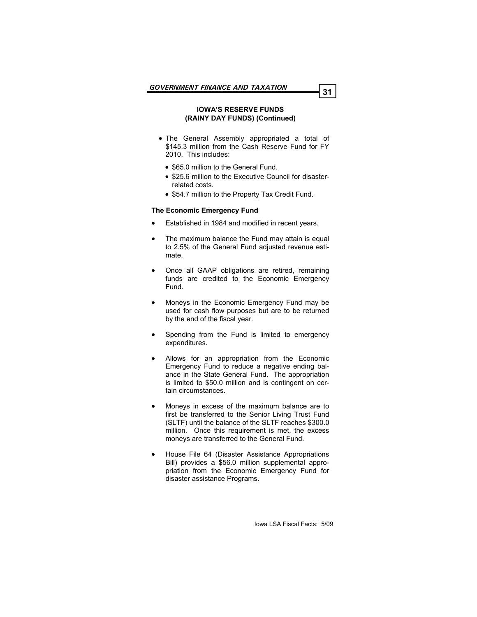#### **IOWA'S RESERVE FUNDS (RAINY DAY FUNDS) (Continued)**

- The General Assembly appropriated a total of \$145.3 million from the Cash Reserve Fund for FY 2010. This includes:
	- \$65.0 million to the General Fund.
	- \$25.6 million to the Executive Council for disasterrelated costs.
	- \$54.7 million to the Property Tax Credit Fund.

#### **The Economic Emergency Fund**

- Established in 1984 and modified in recent years.
- The maximum balance the Fund may attain is equal to 2.5% of the General Fund adjusted revenue estimate.
- Once all GAAP obligations are retired, remaining funds are credited to the Economic Emergency Fund.
- Moneys in the Economic Emergency Fund may be used for cash flow purposes but are to be returned by the end of the fiscal year.
- Spending from the Fund is limited to emergency expenditures.
- Allows for an appropriation from the Economic Emergency Fund to reduce a negative ending balance in the State General Fund. The appropriation is limited to \$50.0 million and is contingent on certain circumstances.
- Moneys in excess of the maximum balance are to first be transferred to the Senior Living Trust Fund (SLTF) until the balance of the SLTF reaches \$300.0 million. Once this requirement is met, the excess moneys are transferred to the General Fund.
- House File 64 (Disaster Assistance Appropriations Bill) provides a \$56.0 million supplemental appropriation from the Economic Emergency Fund for disaster assistance Programs.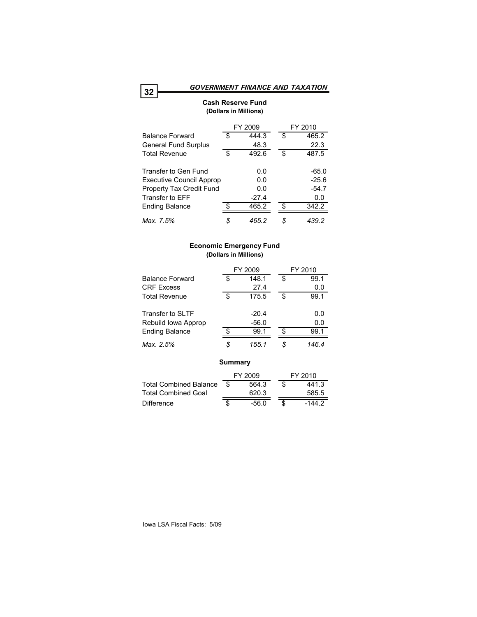### **Cash Reserve Fund (Dollars in Millions)**

|                                 | FY 2009 |         |    | FY 2010 |
|---------------------------------|---------|---------|----|---------|
| <b>Balance Forward</b>          | S       | 444.3   | S  | 465.2   |
| <b>General Fund Surplus</b>     |         | 48.3    |    | 22.3    |
| <b>Total Revenue</b>            | \$      | 492.6   | \$ | 487.5   |
| Transfer to Gen Fund            |         | 0.0     |    | -65.0   |
| <b>Executive Council Approp</b> |         | 0.0     |    | $-25.6$ |
| Property Tax Credit Fund        |         | 0.0     |    | $-54.7$ |
| Transfer to EFF                 |         | $-27.4$ |    | 0.0     |
| <b>Ending Balance</b>           | \$      | 465.2   | ድ  | 342.2   |
| Max. 7.5%                       | S       | 465.2   | \$ | 439.2   |

### **Economic Emergency Fund (Dollars in Millions)**

|                               | FY 2009 |         |    | FY 2010  |  |  |
|-------------------------------|---------|---------|----|----------|--|--|
| <b>Balance Forward</b>        | \$      | 148.1   | \$ | 99.1     |  |  |
| <b>CRF</b> Excess             |         | 27.4    |    | 0.0      |  |  |
| <b>Total Revenue</b>          | \$      | 175.5   | \$ | 99.1     |  |  |
| Transfer to SLTF              |         | $-20.4$ |    | 0.0      |  |  |
| Rebuild Iowa Approp           |         | $-56.0$ |    | 0.0      |  |  |
| <b>Ending Balance</b>         | \$.     | 99.1    | \$ | 99.1     |  |  |
| Max. 2.5%                     | \$      | 155.1   | \$ | 146.4    |  |  |
| Summary                       |         |         |    |          |  |  |
|                               |         | FY 2009 |    | FY 2010  |  |  |
| <b>Total Combined Balance</b> | S       | 564.3   | \$ | 441.3    |  |  |
| <b>Total Combined Goal</b>    |         | 620.3   |    | 585.5    |  |  |
| <b>Difference</b>             | \$      | $-56.0$ | \$ | $-144.2$ |  |  |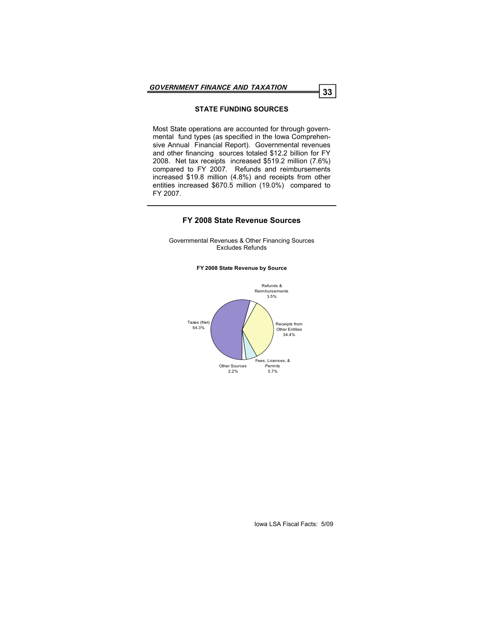### **STATE FUNDING SOURCES**

Most State operations are accounted for through governmental fund types (as specified in the Iowa Comprehensive Annual Financial Report). Governmental revenues and other financing sources totaled \$12.2 billion for FY 2008. Net tax receipts increased \$519.2 million (7.6%) compared to FY 2007. Refunds and reimbursements increased \$19.8 million (4.8%) and receipts from other entities increased \$670.5 million (19.0%) compared to FY 2007.

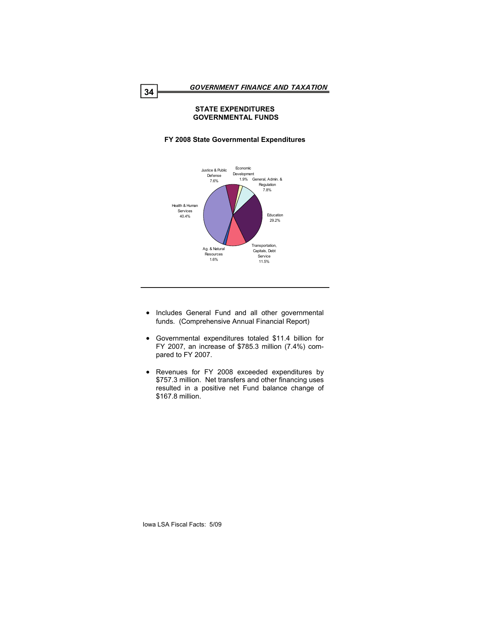### **STATE EXPENDITURES GOVERNMENTAL FUNDS**



# **FY 2008 State Governmental Expenditures**

- Includes General Fund and all other governmental funds. (Comprehensive Annual Financial Report)
- Governmental expenditures totaled \$11.4 billion for FY 2007, an increase of \$785.3 million (7.4%) compared to FY 2007.
- Revenues for FY 2008 exceeded expenditures by \$757.3 million. Net transfers and other financing uses resulted in a positive net Fund balance change of \$167.8 million.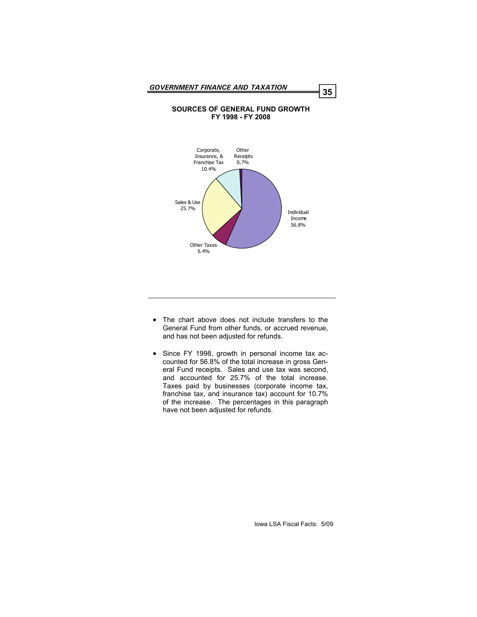#### **SOURCES OF GENERAL FUND GROWTH FY 1998 - FY 2008**



- The chart above does not include transfers to the General Fund from other funds, or accrued revenue, and has not been adjusted for refunds.
- Since FY 1998, growth in personal income tax accounted for 56.8% of the total increase in gross General Fund receipts. Sales and use tax was second, and accounted for 25.7% of the total increase. Taxes paid by businesses (corporate income tax, franchise tax, and insurance tax) account for 10.7% of the increase. The percentages in this paragraph have not been adjusted for refunds.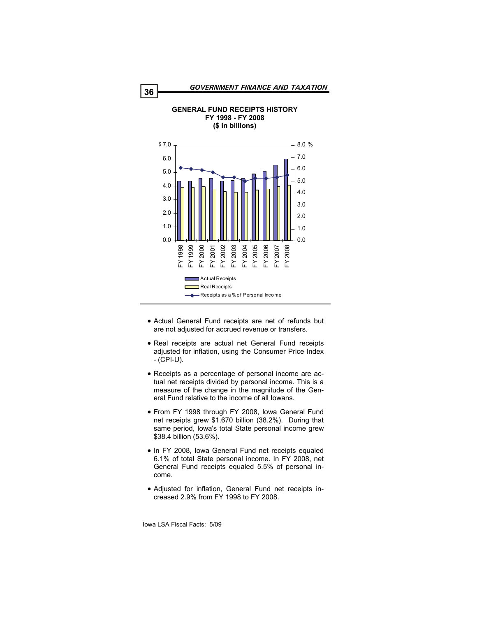

**GENERAL FUND RECEIPTS HISTORY FY 1998 - FY 2008** 

- Actual General Fund receipts are net of refunds but are not adjusted for accrued revenue or transfers.
- Real receipts are actual net General Fund receipts adjusted for inflation, using the Consumer Price Index - (CPI-U).
- Receipts as a percentage of personal income are actual net receipts divided by personal income. This is a measure of the change in the magnitude of the General Fund relative to the income of all Iowans.
- From FY 1998 through FY 2008, Iowa General Fund net receipts grew \$1.670 billion (38.2%). During that same period, Iowa's total State personal income grew \$38.4 billion (53.6%).
- In FY 2008, Iowa General Fund net receipts equaled 6.1% of total State personal income. In FY 2008, net General Fund receipts equaled 5.5% of personal income.
- Adjusted for inflation, General Fund net receipts increased 2.9% from FY 1998 to FY 2008.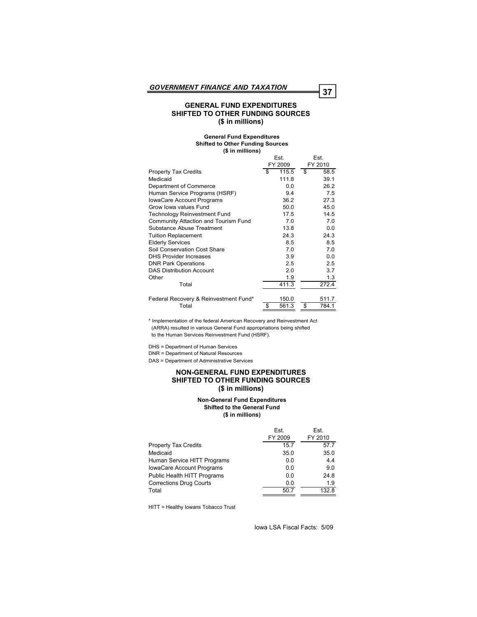#### **GENERAL FUND EXPENDITURES SHIFTED TO OTHER FUNDING SOURCES (\$ in millions)**

#### **General Fund Expenditures Shifted to Other Funding Sources (\$ in millions)**

|                                       | Est.        | Est.        |  |
|---------------------------------------|-------------|-------------|--|
|                                       | FY 2009     | FY 2010     |  |
| <b>Property Tax Credits</b>           | 115.5<br>\$ | \$<br>58.5  |  |
| Medicaid                              | 111.8       | 39.1        |  |
| Department of Commerce                | 0.0         | 26.2        |  |
| Human Service Programs (HSRF)         | 9.4         | 7.5         |  |
| <b>IowaCare Account Programs</b>      | 36.2        | 27.3        |  |
| Grow Iowa values Fund                 | 50.0        | 45.0        |  |
| <b>Technology Reinvestment Fund</b>   | 17.5        | 14.5        |  |
| Community Attaction and Tourism Fund  | 7.0         | 7.0         |  |
| Substance Abuse Treatment             | 13.8        | 0.0         |  |
| <b>Tuition Replacement</b>            | 24.3        | 24.3        |  |
| <b>Elderly Services</b>               | 8.5         | 8.5         |  |
| Soil Conservation Cost Share          | 7.0         | 7.0         |  |
| <b>DHS Provider Increases</b>         | 3.9         | 0.0         |  |
| <b>DNR Park Operations</b>            | 2.5         | 2.5         |  |
| <b>DAS Distribution Account</b>       | 2.0         | 3.7         |  |
| Other                                 | 1.9         | 1.3         |  |
| Total                                 | 411.3       | 272.4       |  |
| Federal Recovery & Reinvestment Fund* | 150.0       | 511.7       |  |
| Total                                 | 561.3<br>\$ | \$<br>784.1 |  |
|                                       |             |             |  |

\* Implementation of the federal American Recovery and Reinvestment Act (ARRA) resulted in various General Fund appropriations being shifted to the Human Services Reinvestment Fund (HSRF).

DHS = Department of Human Services DNR = Department of Natural Resources DAS = Department of Administrative Services

#### **NON-GENERAL FUND EXPENDITURES SHIFTED TO OTHER FUNDING SOURCES (\$ in millions)**

#### **Non-General Fund Expenditures Shifted to the General Fund (\$ in millions)**

|                                  | Est.<br>FY 2009 | Est.<br>FY 2010 |
|----------------------------------|-----------------|-----------------|
|                                  |                 |                 |
| <b>Property Tax Credits</b>      | 15.7            | 57.7            |
| Medicaid                         | 35.0            | 35.0            |
| Human Service HITT Programs      | 0.0             | 4.4             |
| <b>IowaCare Account Programs</b> | 0.0             | 9.0             |
| Public Health HITT Programs      | 0.0             | 24.8            |
| <b>Corrections Drug Courts</b>   | 0.0             | 1.9             |
| Total                            | 50.7            | 132.8           |

HITT = Healthy Iowans Tobacco Trust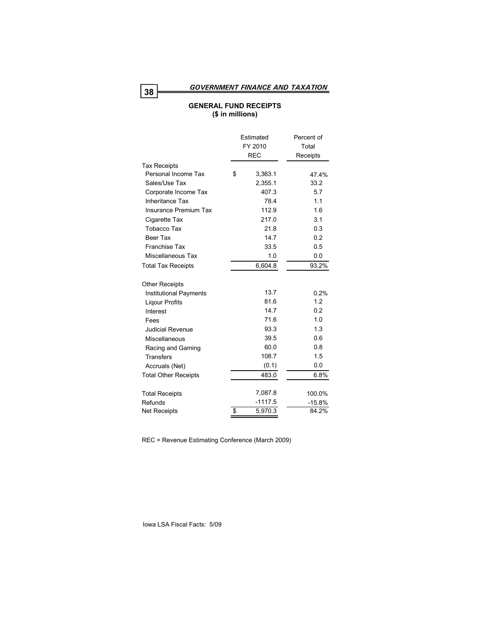*GOVERNMENT FINANCE AND TAXATION* **<sup>38</sup>**

# **GENERAL FUND RECEIPTS (\$ in millions)**

|                               | Estimated     | Percent of |
|-------------------------------|---------------|------------|
|                               | FY 2010       | Total      |
|                               | <b>REC</b>    | Receipts   |
| <b>Tax Receipts</b>           |               |            |
| Personal Income Tax           | \$<br>3,363.1 | 47.4%      |
| Sales/Use Tax                 | 2,355.1       | 33.2       |
| Corporate Income Tax          | 407.3         | 5.7        |
| <b>Inheritance Tax</b>        | 78.4          | 1.1        |
| Insurance Premium Tax         | 112.9         | 1.6        |
| Cigarette Tax                 | 217.0         | 3.1        |
| <b>Tobacco Tax</b>            | 21.8          | 0.3        |
| <b>Beer Tax</b>               | 14.7          | 0.2        |
| <b>Franchise Tax</b>          | 33.5          | 0.5        |
| Miscellaneous Tax             | 1.0           | 0.0        |
| <b>Total Tax Receipts</b>     | 6,604.8       | 93.2%      |
| <b>Other Receipts</b>         |               |            |
| <b>Institutional Payments</b> | 13.7          | 0.2%       |
| <b>Ligour Profits</b>         | 81.6          | 1.2        |
| Interest                      | 14.7          | 0.2        |
| Fees                          | 71.6          | 1.0        |
| <b>Judicial Revenue</b>       | 93.3          | 1.3        |
| Miscellaneous                 | 39.5          | 0.6        |
| Racing and Gaming             | 60.0          | 0.8        |
| <b>Transfers</b>              | 108.7         | 1.5        |
| Accruals (Net)                | (0.1)         | 0.0        |
| <b>Total Other Receipts</b>   | 483.0         | 6.8%       |
| <b>Total Receipts</b>         | 7,087.8       | 100.0%     |
| Refunds                       | $-1117.5$     | -15.8%     |
| <b>Net Receipts</b>           | \$<br>5,970.3 | 84.2%      |

REC = Revenue Estimating Conference (March 2009)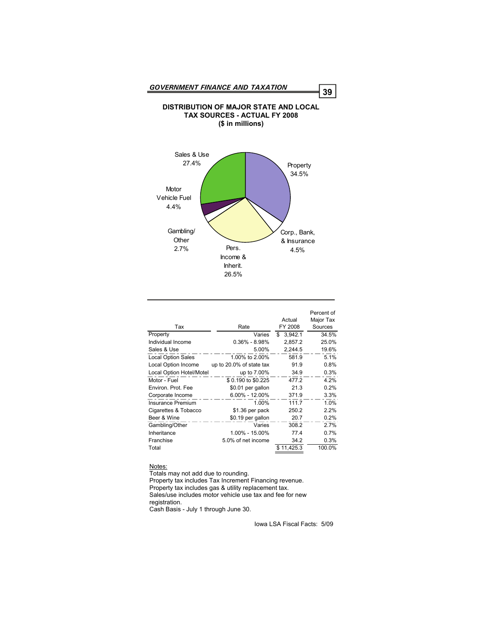

| Tax                       | Rate                     | Actual<br>FY 2008 | Percent of<br>Major Tax<br>Sources |
|---------------------------|--------------------------|-------------------|------------------------------------|
| Property                  | Varies                   | 3,942.1<br>\$     | 34.5%                              |
| Individual Income         | $0.36\% - 8.98\%$        | 2.857.2           | 25.0%                              |
| Sales & Use               | 5.00%                    | 2,244.5           | 19.6%                              |
| <b>Local Option Sales</b> | 1.00% to 2.00%           | 581.9             | 5.1%                               |
| Local Option Income       | up to 20.0% of state tax | 91.9              | 0.8%                               |
| Local Option Hotel/Motel  | up to 7.00%              | 34.9              | 0.3%                               |
| Motor - Fuel              | \$0.190 to \$0.225       | 477.2             | 4.2%                               |
| Environ, Prot. Fee        | \$0.01 per gallon        | 21.3              | 0.2%                               |
| Corporate Income          | $6.00\% - 12.00\%$       | 371.9             | 3.3%                               |
| <b>Insurance Premium</b>  | 1.00%                    | 111.7             | 1.0%                               |
| Cigarettes & Tobacco      | \$1.36 per pack          | 250.2             | 2.2%                               |
| Beer & Wine               | \$0.19 per gallon        | 20.7              | 0.2%                               |
| Gambling/Other            | Varies                   | 308.2             | 2.7%                               |
| Inheritance               | 1.00% - 15.00%           | 77.4              | 0.7%                               |
| Franchise                 | 5.0% of net income       | 34.2              | 0.3%                               |
| Total                     |                          | \$11,425.3        | 100.0%                             |

#### Notes:

Totals may not add due to rounding. Property tax includes Tax Increment Financing revenue. Property tax includes gas & utility replacement tax. Sales/use includes motor vehicle use tax and fee for new registration.

Cash Basis - July 1 through June 30.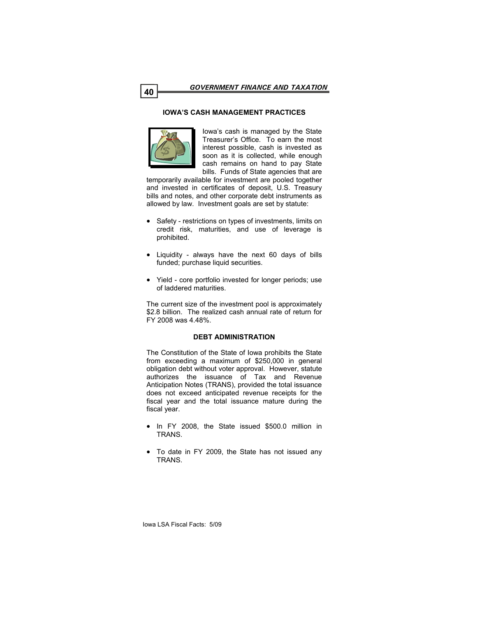### **IOWA'S CASH MANAGEMENT PRACTICES**



Iowa's cash is managed by the State Treasurer's Office. To earn the most interest possible, cash is invested as soon as it is collected, while enough cash remains on hand to pay State bills. Funds of State agencies that are

temporarily available for investment are pooled together and invested in certificates of deposit, U.S. Treasury bills and notes, and other corporate debt instruments as allowed by law. Investment goals are set by statute:

- Safety restrictions on types of investments, limits on credit risk, maturities, and use of leverage is prohibited.
- Liquidity always have the next 60 days of bills funded; purchase liquid securities.
- Yield core portfolio invested for longer periods; use of laddered maturities.

The current size of the investment pool is approximately \$2.8 billion. The realized cash annual rate of return for FY 2008 was 4.48%.

#### **DEBT ADMINISTRATION**

The Constitution of the State of Iowa prohibits the State from exceeding a maximum of \$250,000 in general obligation debt without voter approval. However, statute authorizes the issuance of Tax and Revenue Anticipation Notes (TRANS), provided the total issuance does not exceed anticipated revenue receipts for the fiscal year and the total issuance mature during the fiscal year.

- In FY 2008, the State issued \$500.0 million in TRANS.
- To date in FY 2009, the State has not issued any TRANS.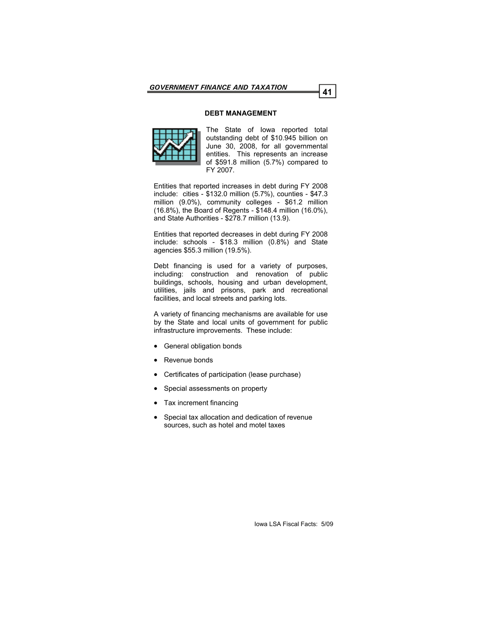### **DEBT MANAGEMENT**



The State of Iowa reported total outstanding debt of \$10.945 billion on June 30, 2008, for all governmental entities. This represents an increase of \$591.8 million (5.7%) compared to FY 2007.

Entities that reported increases in debt during FY 2008 include: cities - \$132.0 million (5.7%), counties - \$47.3 million (9.0%), community colleges - \$61.2 million (16.8%), the Board of Regents - \$148.4 million (16.0%), and State Authorities - \$278.7 million (13.9).

Entities that reported decreases in debt during FY 2008 include: schools - \$18.3 million (0.8%) and State agencies \$55.3 million (19.5%).

Debt financing is used for a variety of purposes, including: construction and renovation of public buildings, schools, housing and urban development, utilities, jails and prisons, park and recreational facilities, and local streets and parking lots.

A variety of financing mechanisms are available for use by the State and local units of government for public infrastructure improvements. These include:

- General obligation bonds
- Revenue bonds
- Certificates of participation (lease purchase)
- Special assessments on property
- Tax increment financing
- Special tax allocation and dedication of revenue sources, such as hotel and motel taxes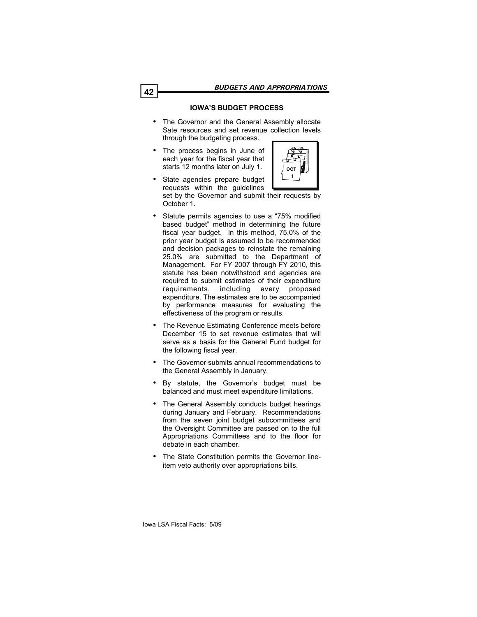**1**

# **IOWA'S BUDGET PROCESS**

- The Governor and the General Assembly allocate Sate resources and set revenue collection levels through the budgeting process.
- The process begins in June of each year for the fiscal year that starts 12 months later on July 1.



- Statute permits agencies to use a "75% modified based budget" method in determining the future fiscal year budget. In this method, 75.0% of the prior year budget is assumed to be recommended and decision packages to reinstate the remaining 25.0% are submitted to the Department of Management. For FY 2007 through FY 2010, this statute has been notwithstood and agencies are required to submit estimates of their expenditure requirements, including every proposed expenditure. The estimates are to be accompanied by performance measures for evaluating the effectiveness of the program or results.
- The Revenue Estimating Conference meets before December 15 to set revenue estimates that will serve as a basis for the General Fund budget for the following fiscal year.
- The Governor submits annual recommendations to the General Assembly in January.
- By statute, the Governor's budget must be balanced and must meet expenditure limitations.
- The General Assembly conducts budget hearings during January and February. Recommendations from the seven joint budget subcommittees and the Oversight Committee are passed on to the full Appropriations Committees and to the floor for debate in each chamber.
- The State Constitution permits the Governor lineitem veto authority over appropriations bills.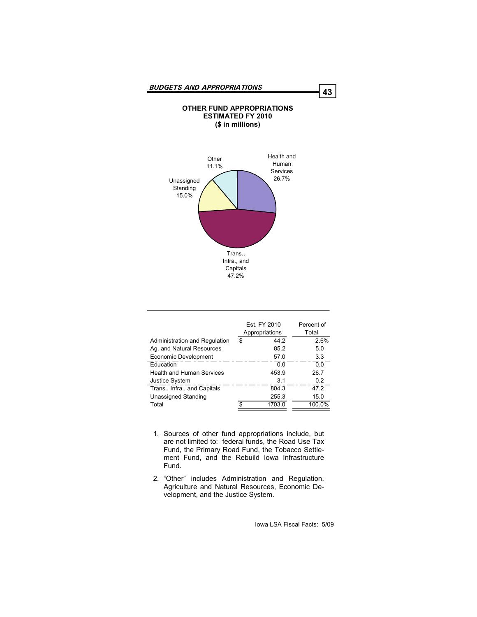# Health and Human **Other** 11.1% **OTHER FUND APPROPRIATIONS ESTIMATED FY 2010 (\$ in millions)**



|                                  | Est. FY 2010<br>Appropriations | Percent of<br>Total |  |  |
|----------------------------------|--------------------------------|---------------------|--|--|
| Administration and Regulation    | \$<br>44 2                     | 2.6%                |  |  |
| Ag. and Natural Resources        | 85.2                           | 5.0                 |  |  |
| Economic Development             | 57.0                           | 3.3                 |  |  |
| <b>Education</b>                 | ი ი                            | 0.0                 |  |  |
| <b>Health and Human Services</b> | 453.9                          | 26.7                |  |  |
| <b>Justice System</b>            | 31                             | 02                  |  |  |
| Trans., Infra., and Capitals     | 804.3                          | 47.2                |  |  |
| Unassigned Standing              | 255.3                          | 15.0                |  |  |
| Total                            | \$<br>1703.0                   | 100.0%              |  |  |

- 1. Sources of other fund appropriations include, but are not limited to: federal funds, the Road Use Tax Fund, the Primary Road Fund, the Tobacco Settlement Fund, and the Rebuild Iowa Infrastructure Fund.
- 2. "Other" includes Administration and Regulation, Agriculture and Natural Resources, Economic Development, and the Justice System.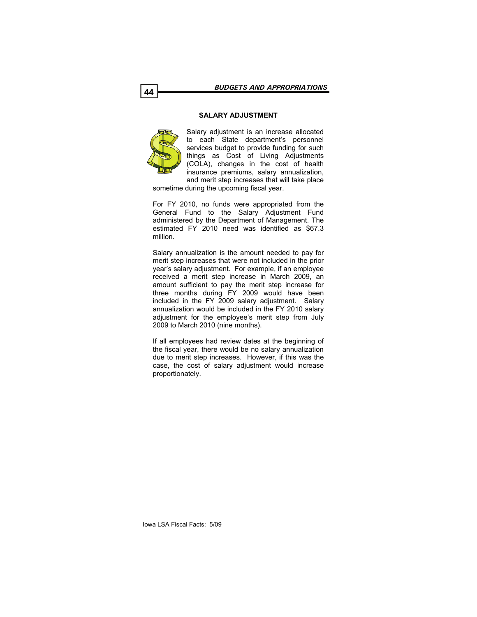### **SALARY ADJUSTMENT**



Salary adjustment is an increase allocated to each State department's personnel services budget to provide funding for such things as Cost of Living Adjustments (COLA), changes in the cost of health insurance premiums, salary annualization, and merit step increases that will take place

sometime during the upcoming fiscal year.

For FY 2010, no funds were appropriated from the General Fund to the Salary Adjustment Fund administered by the Department of Management. The estimated FY 2010 need was identified as \$67.3 million.

Salary annualization is the amount needed to pay for merit step increases that were not included in the prior year's salary adjustment. For example, if an employee received a merit step increase in March 2009, an amount sufficient to pay the merit step increase for three months during FY 2009 would have been included in the FY 2009 salary adjustment. Salary annualization would be included in the FY 2010 salary adjustment for the employee's merit step from July 2009 to March 2010 (nine months).

If all employees had review dates at the beginning of the fiscal year, there would be no salary annualization due to merit step increases. However, if this was the case, the cost of salary adjustment would increase proportionately.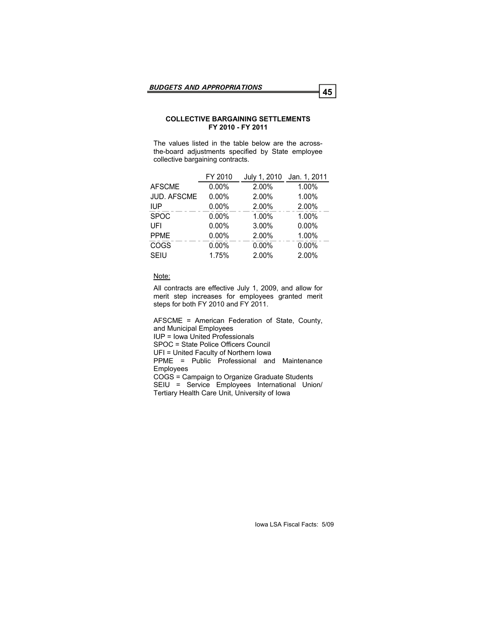### **COLLECTIVE BARGAINING SETTLEMENTS FY 2010 - FY 2011**

The values listed in the table below are the acrossthe-board adjustments specified by State employee collective bargaining contracts.

|                    | FY 2010  | July 1, 2010 | Jan. 1, 2011 |
|--------------------|----------|--------------|--------------|
| <b>AFSCME</b>      | $0.00\%$ | 2.00%        | 1.00%        |
| <b>JUD. AFSCME</b> | $0.00\%$ | 2.00%        | 1.00%        |
| <b>IUP</b>         | $0.00\%$ | 2.00%        | 2.00%        |
| <b>SPOC</b>        | 0.00%    | 1.00%        | 1.00%        |
| UFI                | 0.00%    | 3.00%        | 0.00%        |
| <b>PPME</b>        | $0.00\%$ | 2.00%        | 1.00%        |
| <b>COGS</b>        | 0.00%    | 0.00%        | 0.00%        |
| <b>SEIU</b>        | 1.75%    | 2.00%        | 2.00%        |

#### Note:

All contracts are effective July 1, 2009, and allow for merit step increases for employees granted merit steps for both FY 2010 and FY 2011.

AFSCME = American Federation of State, County, and Municipal Employees

IUP = Iowa United Professionals

SPOC = State Police Officers Council

UFI = United Faculty of Northern Iowa

PPME = Public Professional and Maintenance Employees

COGS = Campaign to Organize Graduate Students

SEIU = Service Employees International Union/ Tertiary Health Care Unit, University of Iowa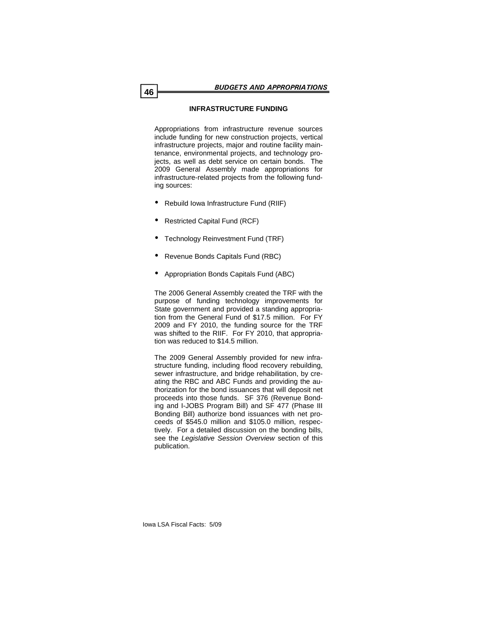# **INFRASTRUCTURE FUNDING**

Appropriations from infrastructure revenue sources include funding for new construction projects, vertical infrastructure projects, major and routine facility maintenance, environmental projects, and technology projects, as well as debt service on certain bonds. The 2009 General Assembly made appropriations for infrastructure-related projects from the following funding sources:

- Rebuild Iowa Infrastructure Fund (RIIF)
- Restricted Capital Fund (RCF)
- Technology Reinvestment Fund (TRF)
- Revenue Bonds Capitals Fund (RBC)
- Appropriation Bonds Capitals Fund (ABC)

The 2006 General Assembly created the TRF with the purpose of funding technology improvements for State government and provided a standing appropriation from the General Fund of \$17.5 million. For FY 2009 and FY 2010, the funding source for the TRF was shifted to the RIIF. For FY 2010, that appropriation was reduced to \$14.5 million.

The 2009 General Assembly provided for new infrastructure funding, including flood recovery rebuilding, sewer infrastructure, and bridge rehabilitation, by creating the RBC and ABC Funds and providing the authorization for the bond issuances that will deposit net proceeds into those funds. SF 376 (Revenue Bonding and I-JOBS Program Bill) and SF 477 (Phase III Bonding Bill) authorize bond issuances with net proceeds of \$545.0 million and \$105.0 million, respectively. For a detailed discussion on the bonding bills, see the *Legislative Session Overview* section of this publication.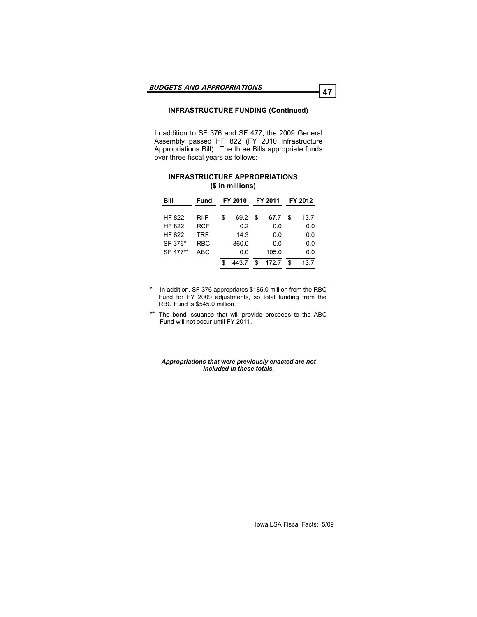# **INFRASTRUCTURE FUNDING (Continued)**

In addition to SF 376 and SF 477, the 2009 General Assembly passed HF 822 (FY 2010 Infrastructure Appropriations Bill). The three Bills appropriate funds over three fiscal years as follows:

### **INFRASTRUCTURE APPROPRIATIONS (\$ in millions)**

| Bill          | Fund       | FY 2010    |    | FY 2011 |    | FY 2012 |
|---------------|------------|------------|----|---------|----|---------|
|               |            |            |    |         |    |         |
| <b>HF 822</b> | RIIF       | \$<br>69.2 | S  | 67.7    | S  | 13.7    |
| <b>HF 822</b> | <b>RCF</b> | 0.2        |    | 0.0     |    | 0.0     |
| <b>HF 822</b> | <b>TRF</b> | 14.3       |    | 0.0     |    | 0.0     |
| SF 376*       | <b>RBC</b> | 360.0      |    | 0.0     |    | 0.0     |
| SF 477**      | ABC        | 0.0        |    | 105.0   |    | 0.0     |
|               |            | 443.7      | \$ | 172.7   | \$ | 13.7    |

In addition, SF 376 appropriates \$185.0 million from the RBC Fund for FY 2009 adjustments, so total funding from the RBC Fund is \$545.0 million.

\*\* The bond issuance that will provide proceeds to the ABC Fund will not occur until FY 2011.

#### *Appropriations that were previously enacted are not included in these totals.*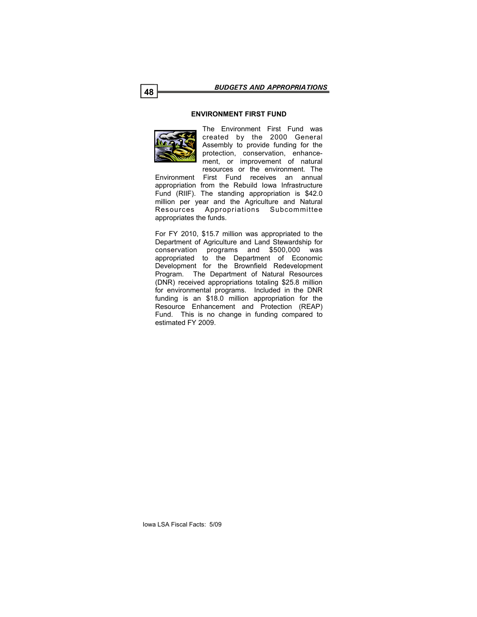### **ENVIRONMENT FIRST FUND**



The Environment First Fund was created by the 2000 General Assembly to provide funding for the protection, conservation, enhancement, or improvement of natural resources or the environment. The

Environment First Fund receives an annual appropriation from the Rebuild Iowa Infrastructure Fund (RIIF). The standing appropriation is \$42.0 million per year and the Agriculture and Natural Resources Appropriations Subcommittee appropriates the funds.

For FY 2010, \$15.7 million was appropriated to the Department of Agriculture and Land Stewardship for conservation programs and \$500,000 was appropriated to the Department of Economic Development for the Brownfield Redevelopment Program. The Department of Natural Resources (DNR) received appropriations totaling \$25.8 million for environmental programs. Included in the DNR funding is an \$18.0 million appropriation for the Resource Enhancement and Protection (REAP) Fund. This is no change in funding compared to estimated FY 2009.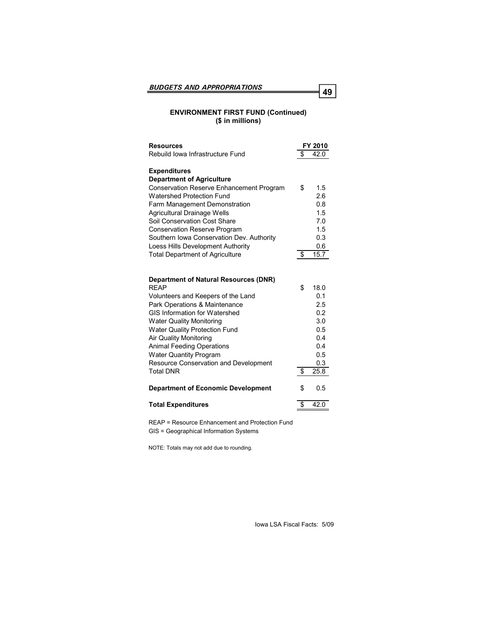# **ENVIRONMENT FIRST FUND (Continued) (\$ in millions)**

| <b>Resources</b>                                                      |     | FY 2010    |
|-----------------------------------------------------------------------|-----|------------|
| Rebuild Iowa Infrastructure Fund                                      | \$  | 42.0       |
| <b>Expenditures</b>                                                   |     |            |
| <b>Department of Agriculture</b>                                      |     |            |
| Conservation Reserve Enhancement Program                              | \$  | 1.5        |
| <b>Watershed Protection Fund</b>                                      |     | 2.6        |
| Farm Management Demonstration                                         |     | 0.8        |
| Agricultural Drainage Wells                                           |     | 1.5        |
| Soil Conservation Cost Share                                          |     | 7.0        |
| <b>Conservation Reserve Program</b>                                   |     | 1.5        |
| Southern Iowa Conservation Dev. Authority                             |     | 0.3        |
| Loess Hills Development Authority                                     |     | 0.6        |
| <b>Total Department of Agriculture</b>                                | -\$ | 15.7       |
|                                                                       |     |            |
|                                                                       |     |            |
| <b>Department of Natural Resources (DNR)</b>                          |     |            |
| <b>REAP</b>                                                           | \$  | 18.0       |
| Volunteers and Keepers of the Land                                    |     | 0.1        |
| Park Operations & Maintenance<br><b>GIS Information for Watershed</b> |     | 2.5        |
|                                                                       |     | 0.2<br>3.0 |
| <b>Water Quality Monitoring</b>                                       |     |            |
| <b>Water Quality Protection Fund</b><br><b>Air Quality Monitoring</b> |     | 0.5<br>0.4 |
|                                                                       |     | 0.4        |
| <b>Animal Feeding Operations</b><br><b>Water Quantity Program</b>     |     | 0.5        |
| <b>Resource Conservation and Development</b>                          |     | 0.3        |
| <b>Total DNR</b>                                                      | \$  | 25.8       |
|                                                                       |     |            |
| <b>Department of Economic Development</b>                             | \$  | 0.5        |
| <b>Total Expenditures</b>                                             | \$  | 42.0       |
|                                                                       |     |            |
| REAP = Resource Enhancement and Protection Fund                       |     |            |

GIS = Geographical Information Systems

NOTE: Totals may not add due to rounding.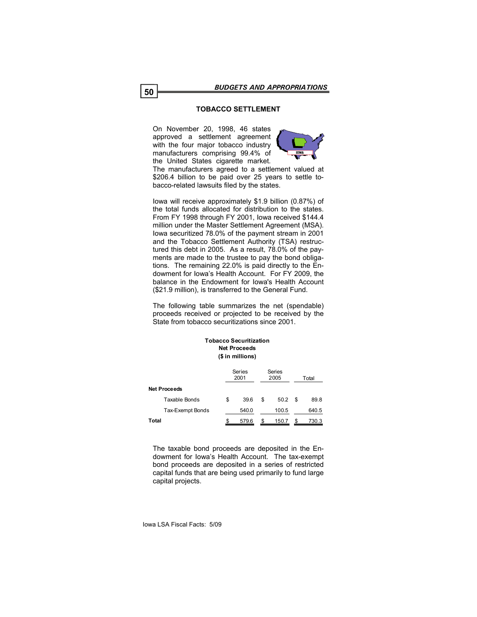# **TOBACCO SETTLEMENT**

On November 20, 1998, 46 states approved a settlement agreement with the four major tobacco industry manufacturers comprising 99.4% of the United States cigarette market.



The manufacturers agreed to a settlement valued at \$206.4 billion to be paid over 25 years to settle tobacco-related lawsuits filed by the states.

Iowa will receive approximately \$1.9 billion (0.87%) of the total funds allocated for distribution to the states. From FY 1998 through FY 2001, Iowa received \$144.4 million under the Master Settlement Agreement (MSA). Iowa securitized 78.0% of the payment stream in 2001 and the Tobacco Settlement Authority (TSA) restructured this debt in 2005. As a result, 78.0% of the payments are made to the trustee to pay the bond obligations. The remaining 22.0% is paid directly to the Endowment for Iowa's Health Account. For FY 2009, the balance in the Endowment for Iowa's Health Account (\$21.9 million), is transferred to the General Fund.

The following table summarizes the net (spendable) proceeds received or projected to be received by the State from tobacco securitizations since 2001.

**Tobacco Securitization**

| TODACCO SECUTILIZATION<br><b>Net Proceeds</b><br>(\$ in millions) |    |                |    |                |    |       |  |
|-------------------------------------------------------------------|----|----------------|----|----------------|----|-------|--|
|                                                                   |    | Series<br>2001 |    | Series<br>2005 |    | Total |  |
| <b>Net Proceeds</b>                                               |    |                |    |                |    |       |  |
| Taxable Bonds                                                     | \$ | 39.6           | \$ | 50.2           | \$ | 89.8  |  |
| Tax-Exempt Bonds                                                  |    | 540.0          |    | 100.5          |    | 640.5 |  |
| Total                                                             | \$ | 579.6          | \$ | 150.7          | S  | 730.3 |  |

The taxable bond proceeds are deposited in the Endowment for Iowa's Health Account. The tax-exempt bond proceeds are deposited in a series of restricted capital funds that are being used primarily to fund large capital projects.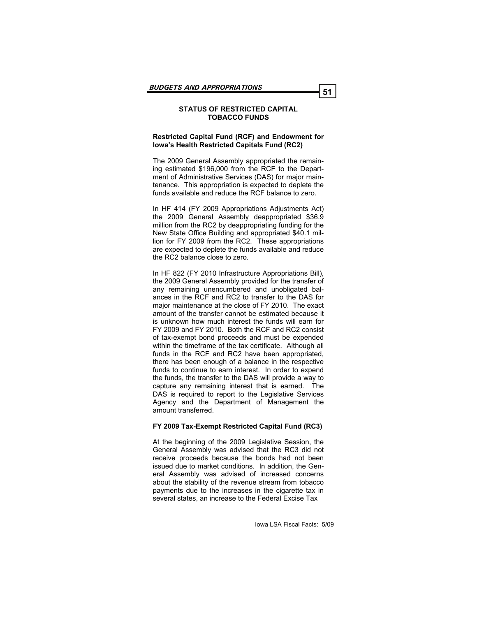### **STATUS OF RESTRICTED CAPITAL TOBACCO FUNDS**

### **Restricted Capital Fund (RCF) and Endowment for Iowa's Health Restricted Capitals Fund (RC2)**

The 2009 General Assembly appropriated the remaining estimated \$196,000 from the RCF to the Department of Administrative Services (DAS) for major maintenance. This appropriation is expected to deplete the funds available and reduce the RCF balance to zero.

In HF 414 (FY 2009 Appropriations Adjustments Act) the 2009 General Assembly deappropriated \$36.9 million from the RC2 by deappropriating funding for the New State Office Building and appropriated \$40.1 million for FY 2009 from the RC2. These appropriations are expected to deplete the funds available and reduce the RC2 balance close to zero.

In HF 822 (FY 2010 Infrastructure Appropriations Bill), the 2009 General Assembly provided for the transfer of any remaining unencumbered and unobligated balances in the RCF and RC2 to transfer to the DAS for major maintenance at the close of FY 2010. The exact amount of the transfer cannot be estimated because it is unknown how much interest the funds will earn for FY 2009 and FY 2010. Both the RCF and RC2 consist of tax-exempt bond proceeds and must be expended within the timeframe of the tax certificate. Although all funds in the RCF and RC2 have been appropriated, there has been enough of a balance in the respective funds to continue to earn interest. In order to expend the funds, the transfer to the DAS will provide a way to capture any remaining interest that is earned. The DAS is required to report to the Legislative Services Agency and the Department of Management the amount transferred.

# **FY 2009 Tax-Exempt Restricted Capital Fund (RC3)**

At the beginning of the 2009 Legislative Session, the General Assembly was advised that the RC3 did not receive proceeds because the bonds had not been issued due to market conditions. In addition, the General Assembly was advised of increased concerns about the stability of the revenue stream from tobacco payments due to the increases in the cigarette tax in several states, an increase to the Federal Excise Tax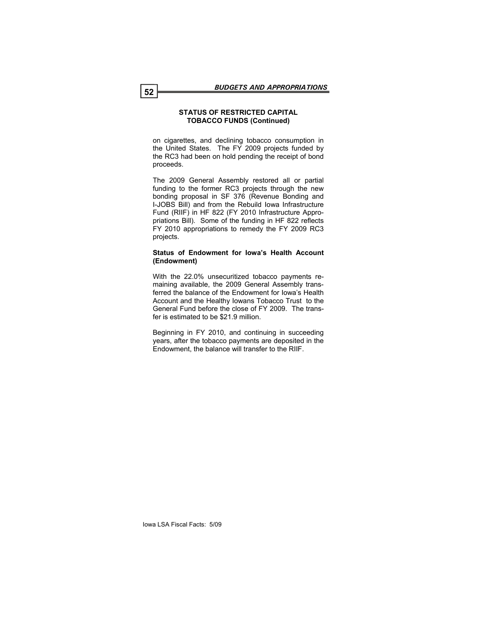### **STATUS OF RESTRICTED CAPITAL TOBACCO FUNDS (Continued)**

on cigarettes, and declining tobacco consumption in the United States. The FY 2009 projects funded by the RC3 had been on hold pending the receipt of bond proceeds.

The 2009 General Assembly restored all or partial funding to the former RC3 projects through the new bonding proposal in SF 376 (Revenue Bonding and I-JOBS Bill) and from the Rebuild Iowa Infrastructure Fund (RIIF) in HF 822 (FY 2010 Infrastructure Appropriations Bill). Some of the funding in HF 822 reflects FY 2010 appropriations to remedy the FY 2009 RC3 projects.

### **Status of Endowment for Iowa's Health Account (Endowment)**

With the 22.0% unsecuritized tobacco payments remaining available, the 2009 General Assembly transferred the balance of the Endowment for Iowa's Health Account and the Healthy Iowans Tobacco Trust to the General Fund before the close of FY 2009. The transfer is estimated to be \$21.9 million.

Beginning in FY 2010, and continuing in succeeding years, after the tobacco payments are deposited in the Endowment, the balance will transfer to the RIIF.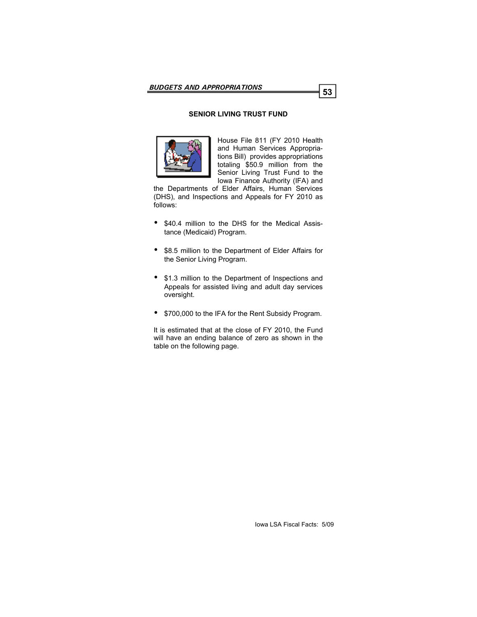# **SENIOR LIVING TRUST FUND**



House File 811 (FY 2010 Health and Human Services Appropriations Bill) provides appropriations totaling \$50.9 million from the Senior Living Trust Fund to the Iowa Finance Authority (IFA) and

the Departments of Elder Affairs, Human Services (DHS), and Inspections and Appeals for FY 2010 as follows:

- \$40.4 million to the DHS for the Medical Assistance (Medicaid) Program.
- \$8.5 million to the Department of Elder Affairs for the Senior Living Program.
- \$1.3 million to the Department of Inspections and Appeals for assisted living and adult day services oversight.
- \$700,000 to the IFA for the Rent Subsidy Program.

It is estimated that at the close of FY 2010, the Fund will have an ending balance of zero as shown in the table on the following page.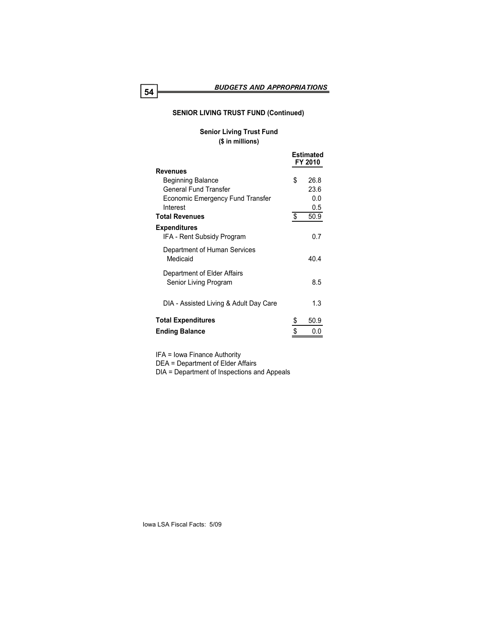# **SENIOR LIVING TRUST FUND (Continued)**

# **Senior Living Trust Fund (\$ in millions)**

|                                                      | Estimated<br>FY 2010 |
|------------------------------------------------------|----------------------|
| <b>Revenues</b>                                      |                      |
| <b>Beginning Balance</b>                             | \$<br>26.8           |
| <b>General Fund Transfer</b>                         | 23.6                 |
| <b>Economic Emergency Fund Transfer</b>              | 0.0                  |
| Interest                                             | 0.5                  |
| <b>Total Revenues</b>                                | \$<br>50.9           |
| <b>Expenditures</b><br>IFA - Rent Subsidy Program    | 0.7                  |
| Department of Human Services<br>Medicaid             | 404                  |
| Department of Elder Affairs<br>Senior Living Program | 8.5                  |
| DIA - Assisted Living & Adult Day Care               | 1.3                  |
| <b>Total Expenditures</b>                            | \$<br>50.9           |
| <b>Ending Balance</b>                                | \$                   |
|                                                      |                      |

IFA = Iowa Finance Authority DEA = Department of Elder Affairs DIA = Department of Inspections and Appeals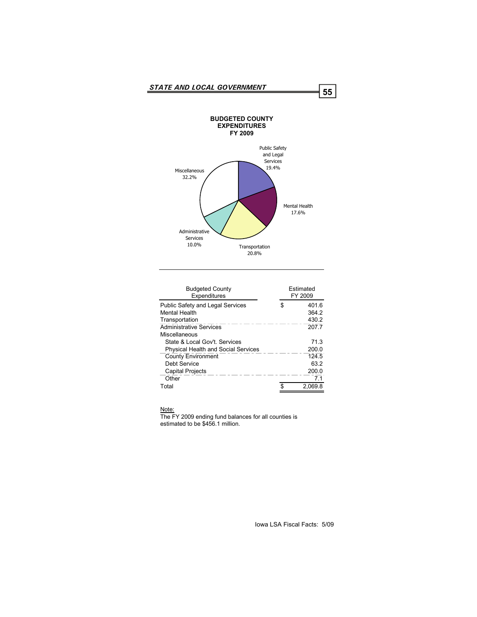

| <b>Budgeted County</b><br>Expenditures                                            | <b>Fstimated</b><br>FY 2009 |                         |  |
|-----------------------------------------------------------------------------------|-----------------------------|-------------------------|--|
| <b>Public Safety and Legal Services</b><br><b>Mental Health</b><br>Transportation | S.                          | 401.6<br>364.2<br>430.2 |  |
| <b>Administrative Services</b><br>Miscellaneous                                   |                             | 207.7                   |  |
| State & Local Gov't, Services<br><b>Physical Health and Social Services</b>       |                             | 713<br>200.0            |  |
| <b>County Environment</b><br>Debt Service                                         |                             | 124.5<br>63.2           |  |
| <b>Capital Projects</b><br>Other                                                  |                             | 200.0<br>7.1            |  |
| Total                                                                             |                             | 2.069.8                 |  |

Note:

The FY 2009 ending fund balances for all counties is estimated to be \$456.1 million.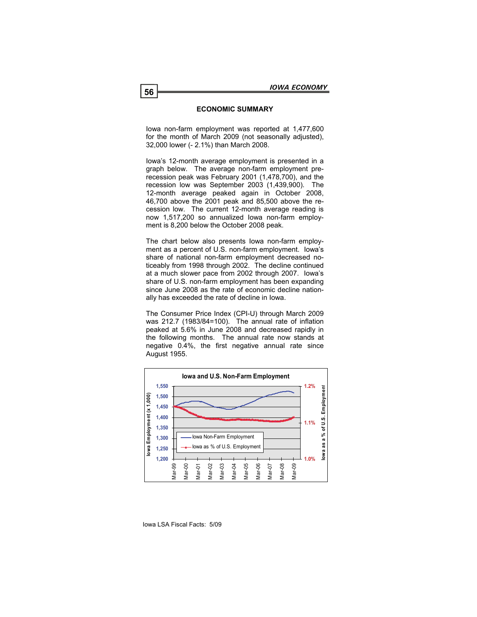### **ECONOMIC SUMMARY**

Iowa non-farm employment was reported at 1,477,600 for the month of March 2009 (not seasonally adjusted), 32,000 lower (- 2.1%) than March 2008.

Iowa's 12-month average employment is presented in a graph below. The average non-farm employment prerecession peak was February 2001 (1,478,700), and the recession low was September 2003 (1,439,900). The 12-month average peaked again in October 2008, 46,700 above the 2001 peak and 85,500 above the recession low. The current 12-month average reading is now 1,517,200 so annualized Iowa non-farm employment is 8,200 below the October 2008 peak.

The chart below also presents Iowa non-farm employment as a percent of U.S. non-farm employment. Iowa's share of national non-farm employment decreased noticeably from 1998 through 2002. The decline continued at a much slower pace from 2002 through 2007. Iowa's share of U.S. non-farm employment has been expanding since June 2008 as the rate of economic decline nationally has exceeded the rate of decline in Iowa.

The Consumer Price Index (CPI-U) through March 2009 was 212.7 (1983/84=100). The annual rate of inflation peaked at 5.6% in June 2008 and decreased rapidly in the following months. The annual rate now stands at negative 0.4%, the first negative annual rate since August 1955.

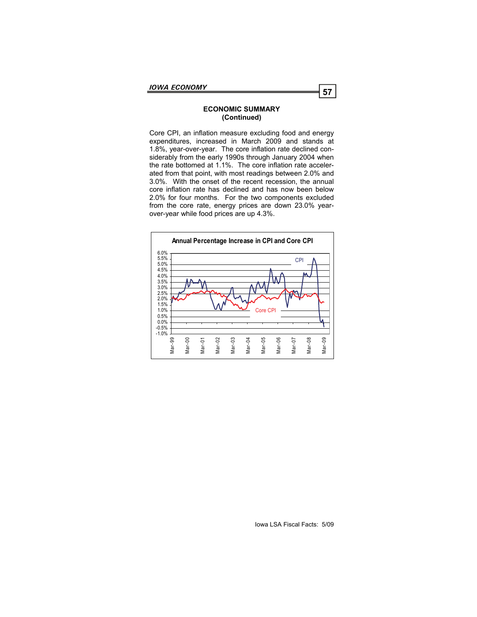### **ECONOMIC SUMMARY (Continued)**

Core CPI, an inflation measure excluding food and energy expenditures, increased in March 2009 and stands at 1.8%, year-over-year. The core inflation rate declined considerably from the early 1990s through January 2004 when the rate bottomed at 1.1%. The core inflation rate accelerated from that point, with most readings between 2.0% and 3.0%. With the onset of the recent recession, the annual core inflation rate has declined and has now been below 2.0% for four months. For the two components excluded from the core rate, energy prices are down 23.0% yearover-year while food prices are up 4.3%.

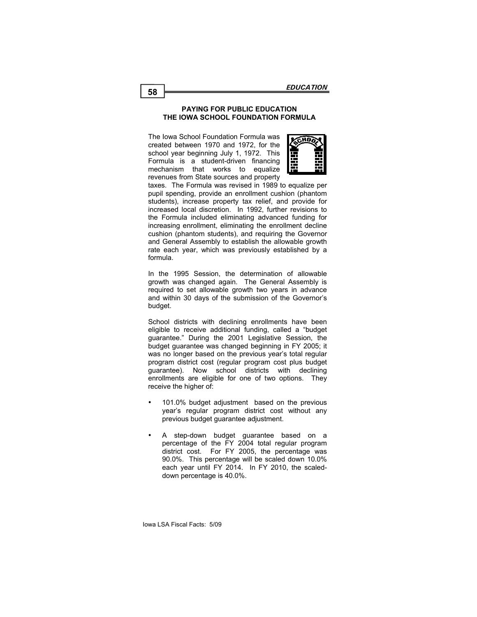### **PAYING FOR PUBLIC EDUCATION PAYING FOR PUBLIC EDUCATION THE IOWA SCHOOL FOUNDATION FORMULA THE IOWA SCHOOL FOUNDATION FORMULA**

The Iowa School Foundation Formula was created between 1970 and 1972, for the  $\sim$ school year beginning July 1, 1972. This  $\mathbf{F}$   $\mathbf{F}$ Formula is a student-driven financing  $\mathbb{E}$   $\mathbb{E}$ mechanism that works to equalize  $\mathbb{R}$  -  $\mathbb{R}$ revenues from State sources and property



taxes. The Formula was revised in 1989 to equalize per pupil spending, provide an enrollment cushion (phantom students), increase property tax relief, and provide for increased local discretion. In 1992, further revisions to the Formula included eliminating advanced funding for increasing enrollment, eliminating the enrollment decline cushion (phantom students), and requiring the Governor and General Assembly to establish the allowable growth **In the 1995 Session, the determination of allowable of allowable of allowable of allowable of allowable of all** rate each year, which was previously established by a

In the 1995 Session, the determination of allowable growth was changed again. The General Assembly is required to set allowable growth two years in advance budget. With districts with declining enrollments have been eligiand within 30 days of the submission of the Governor's

School districts with declining enrollments have been eligible to receive additional funding, called a "budget guarantee." During the 2001 Legislative Session, the budget guarantee was changed beginning in FY 2005; it was no longer based on the previous year's total regular program district cost (regular program cost plus budget enrollments are eligible for one of two options. They receive the higher of: **regular any strict cost without any strict cost without any strict any strict any strict cost with any strict cost with any strict cost with any strict control of the strict control of the strict co** guarantee). Now school districts with declining

- year's regular program district cost without any previous budget guarantee adjustment. 101.0% budget adjustment based on the previous
- A step-down budget guarantee based on a percentage of the FY 2004 total regular program district cost. For FY 2005, the percentage was 90.0%. This percentage will be scaled down 10.0% each year until FY 2014. In FY 2010, the scaleddown percentage is 40.0%.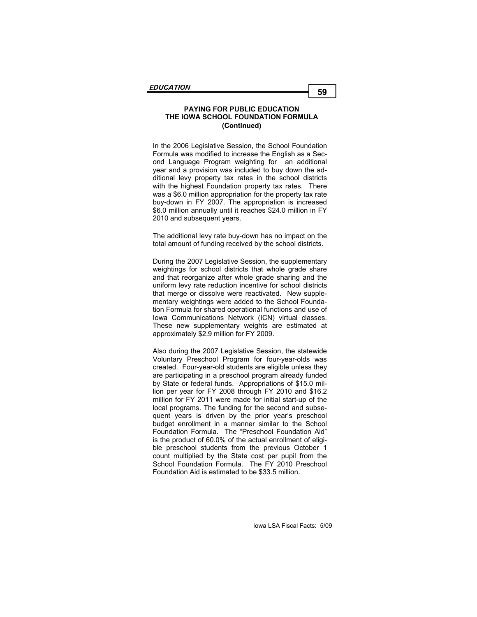In the 2006 Legislative Session, the School Foundation Formula was modified to increase the English as a Second Language Program weighting for an additional year and a provision was included to buy down the additional levy property tax rates in the school districts with the highest Foundation property tax rates. There was a \$6.0 million appropriation for the property tax rate buy-down in FY 2007. The appropriation is increased \$6.0 million annually until it reaches \$24.0 million in FY 2010 and subsequent years.

The additional levy rate buy-down has no impact on the total amount of funding received by the school districts.

During the 2007 Legislative Session, the supplementary weightings for school districts that whole grade share and that reorganize after whole grade sharing and the uniform levy rate reduction incentive for school districts that merge or dissolve were reactivated. New supplementary weightings were added to the School Foundation Formula for shared operational functions and use of Iowa Communications Network (ICN) virtual classes. These new supplementary weights are estimated at approximately \$2.9 million for FY 2009.

Also during the 2007 Legislative Session, the statewide Voluntary Preschool Program for four-year-olds was created. Four-year-old students are eligible unless they are participating in a preschool program already funded by State or federal funds. Appropriations of \$15.0 million per year for FY 2008 through FY 2010 and \$16.2 million for FY 2011 were made for initial start-up of the local programs. The funding for the second and subsequent years is driven by the prior year's preschool budget enrollment in a manner similar to the School Foundation Formula. The "Preschool Foundation Aid" is the product of 60.0% of the actual enrollment of eligible preschool students from the previous October 1 count multiplied by the State cost per pupil from the School Foundation Formula. The FY 2010 Preschool Foundation Aid is estimated to be \$33.5 million.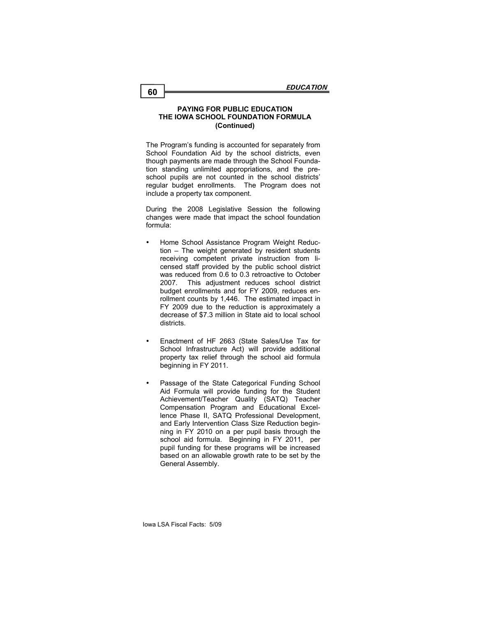The Program's funding is accounted for separately from School Foundation Aid by the school districts, even though payments are made through the School Foundation standing unlimited appropriations, and the preschool pupils are not counted in the school districts' regular budget enrollments. The Program does not include a property tax component.

During the 2008 Legislative Session the following changes were made that impact the school foundation formula:

- Home School Assistance Program Weight Reduction – The weight generated by resident students receiving competent private instruction from licensed staff provided by the public school district was reduced from 0.6 to 0.3 retroactive to October 2007. This adjustment reduces school district budget enrollments and for FY 2009, reduces enrollment counts by 1,446. The estimated impact in FY 2009 due to the reduction is approximately a decrease of \$7.3 million in State aid to local school districts.
- Enactment of HF 2663 (State Sales/Use Tax for School Infrastructure Act) will provide additional property tax relief through the school aid formula beginning in FY 2011.
- Passage of the State Categorical Funding School Aid Formula will provide funding for the Student Achievement/Teacher Quality (SATQ) Teacher Compensation Program and Educational Excellence Phase II, SATQ Professional Development, and Early Intervention Class Size Reduction beginning in FY 2010 on a per pupil basis through the school aid formula. Beginning in FY 2011, per pupil funding for these programs will be increased based on an allowable growth rate to be set by the General Assembly.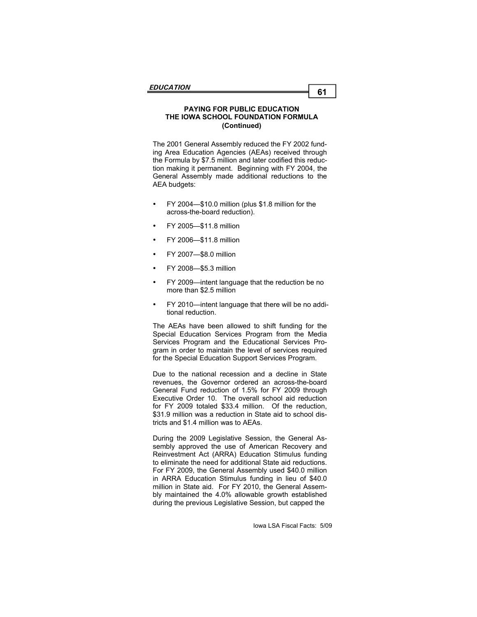The 2001 General Assembly reduced the FY 2002 funding Area Education Agencies (AEAs) received through the Formula by \$7.5 million and later codified this reduction making it permanent. Beginning with FY 2004, the General Assembly made additional reductions to the AEA budgets:

- FY 2004—\$10.0 million (plus \$1.8 million for the across-the-board reduction).
- FY 2005—\$11.8 million
- FY 2006—\$11.8 million
- FY 2007—\$8.0 million
- FY 2008—\$5.3 million
- FY 2009—intent language that the reduction be no more than \$2.5 million
- FY 2010—intent language that there will be no additional reduction.

The AEAs have been allowed to shift funding for the Special Education Services Program from the Media Services Program and the Educational Services Program in order to maintain the level of services required for the Special Education Support Services Program.

Due to the national recession and a decline in State revenues, the Governor ordered an across-the-board General Fund reduction of 1.5% for FY 2009 through Executive Order 10. The overall school aid reduction for FY 2009 totaled \$33.4 million. Of the reduction, \$31.9 million was a reduction in State aid to school districts and \$1.4 million was to AEAs.

During the 2009 Legislative Session, the General Assembly approved the use of American Recovery and Reinvestment Act (ARRA) Education Stimulus funding to eliminate the need for additional State aid reductions. For FY 2009, the General Assembly used \$40.0 million in ARRA Education Stimulus funding in lieu of \$40.0 million in State aid. For FY 2010, the General Assembly maintained the 4.0% allowable growth established during the previous Legislative Session, but capped the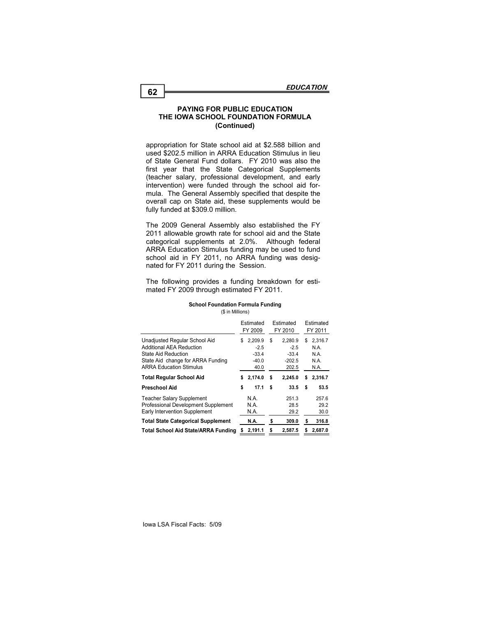appropriation for State school aid at \$2.588 billion and used \$202.5 million in ARRA Education Stimulus in lieu of State General Fund dollars. FY 2010 was also the first year that the State Categorical Supplements (teacher salary, professional development, and early intervention) were funded through the school aid formula. The General Assembly specified that despite the overall cap on State aid, these supplements would be fully funded at \$309.0 million.

The 2009 General Assembly also established the FY 2011 allowable growth rate for school aid and the State categorical supplements at 2.0%. Although federal ARRA Education Stimulus funding may be used to fund school aid in FY 2011, no ARRA funding was designated for FY 2011 during the Session.

The following provides a funding breakdown for estimated FY 2009 through estimated FY 2011.

#### **School Foundation Formula Funding**

(\$ in Millions)

|                                                                                                                                                         |    | Estimated<br>FY 2009                            | Estimated<br>FY 2010 |                                                   | Estimated<br>FY 2011 |                                         |
|---------------------------------------------------------------------------------------------------------------------------------------------------------|----|-------------------------------------------------|----------------------|---------------------------------------------------|----------------------|-----------------------------------------|
| Unadjusted Regular School Aid<br>Additional AEA Reduction<br>State Aid Reduction<br>State Aid change for ARRA Funding<br><b>ARRA Education Stimulus</b> | S  | 2.209.9<br>$-2.5$<br>$-33.4$<br>$-40.0$<br>40.0 | S                    | 2.280.9<br>$-2.5$<br>$-33.4$<br>$-202.5$<br>202.5 | S                    | 2,316.7<br>N.A.<br>N.A.<br>N.A.<br>N.A. |
| <b>Total Regular School Aid</b>                                                                                                                         | s  | 2,174.0                                         | s                    | 2.245.0                                           | S                    | 2.316.7                                 |
| Preschool Aid                                                                                                                                           | \$ | 17.1                                            | \$                   | 33.5                                              | \$                   | 53.5                                    |
| <b>Teacher Salary Supplement</b><br>Professional Development Supplement<br>Early Intervention Supplement                                                |    | N.A.<br>N.A.<br>N.A.                            |                      | 251.3<br>28.5<br>29.2                             |                      | 257.6<br>29.2<br>30.0                   |
| <b>Total State Categorical Supplement</b>                                                                                                               |    | N.A.                                            | \$                   | 309.0                                             | s                    | 316.8                                   |
| Total School Aid State/ARRA Funding                                                                                                                     | s  | 2,191.1                                         | s                    | 2.587.5                                           | S                    | 2.687.0                                 |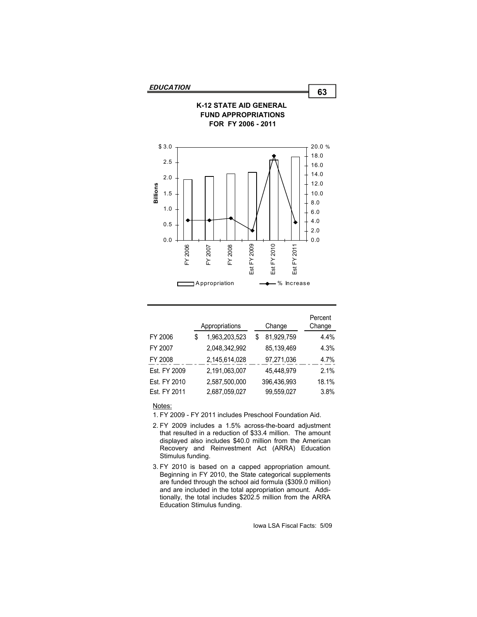

|              | Appropriations      | Change |             | Percent<br>Change |
|--------------|---------------------|--------|-------------|-------------------|
| FY 2006      | \$<br>1,963,203,523 |        | 81,929,759  | 4.4%              |
| FY 2007      | 2,048,342,992       |        | 85,139,469  | 4.3%              |
| FY 2008      | 2,145,614,028       |        | 97,271,036  | 4.7%              |
| Est. FY 2009 | 2,191,063,007       |        | 45,448,979  | 2.1%              |
| Est. FY 2010 | 2,587,500,000       |        | 396.436.993 | 18.1%             |
| Est. FY 2011 | 2,687,059,027       |        | 99,559,027  | 3.8%              |

Notes:

- 1. FY 2009 FY 2011 includes Preschool Foundation Aid.
- 2. FY 2009 includes a 1.5% across-the-board adjustment that resulted in a reduction of \$33.4 million. The amount displayed also includes \$40.0 million from the American Recovery and Reinvestment Act (ARRA) Education Stimulus funding.
- 3. FY 2010 is based on a capped appropriation amount. Beginning in FY 2010, the State categorical supplements are funded through the school aid formula (\$309.0 million) and are included in the total appropriation amount. Additionally, the total includes \$202.5 million from the ARRA Education Stimulus funding.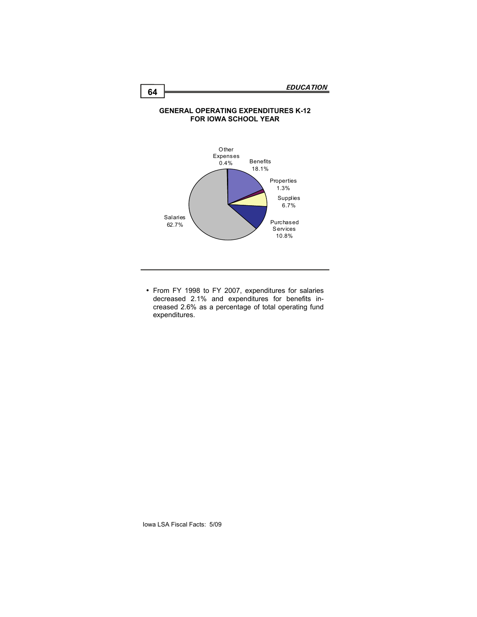### **GENERAL OPERATING EXPENDITURES K-12 FOR IOWA SCHOOL YEAR**



• From FY 1998 to FY 2007, expenditures for salaries decreased 2.1% and expenditures for benefits increased 2.6% as a percentage of total operating fund expenditures.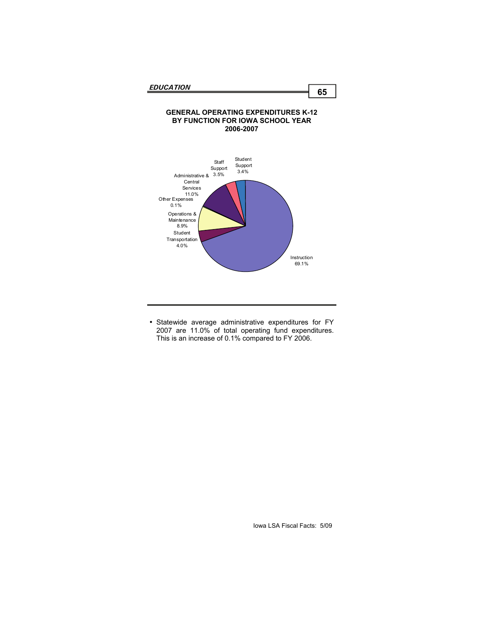#### **GENERAL OPERATING EXPENDITURES K-12 BY FUNCTION FOR IOWA SCHOOL YEAR 2006-2007**



 Statewide average administrative expenditures for FY 2007 are 11.0% of total operating fund expenditures. This is an increase of 0.1% compared to FY 2006.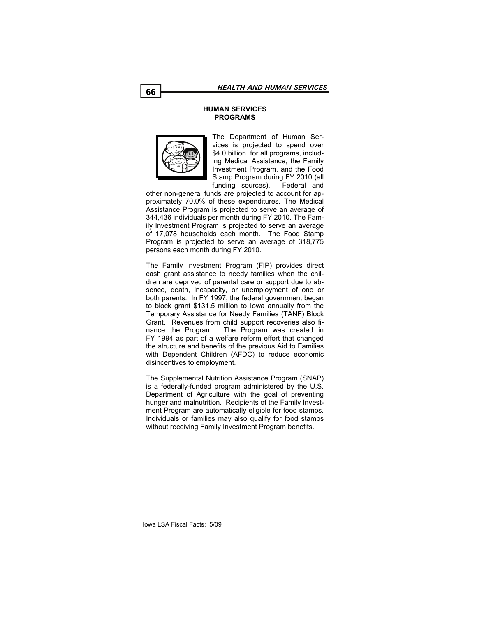### **HUMAN SERVICES PROGRAMS**



The Department of Human Services is projected to spend over \$4.0 billion for all programs, including Medical Assistance, the Family Investment Program, and the Food Stamp Program during FY 2010 (all funding sources). Federal and

other non-general funds are projected to account for approximately 70.0% of these expenditures. The Medical Assistance Program is projected to serve an average of 344,436 individuals per month during FY 2010. The Family Investment Program is projected to serve an average of 17,078 households each month. The Food Stamp Program is projected to serve an average of 318,775 persons each month during FY 2010.

The Family Investment Program (FIP) provides direct cash grant assistance to needy families when the children are deprived of parental care or support due to absence, death, incapacity, or unemployment of one or both parents. In FY 1997, the federal government began to block grant \$131.5 million to Iowa annually from the Temporary Assistance for Needy Families (TANF) Block Grant. Revenues from child support recoveries also finance the Program. The Program was created in FY 1994 as part of a welfare reform effort that changed the structure and benefits of the previous Aid to Families with Dependent Children (AFDC) to reduce economic disincentives to employment.

The Supplemental Nutrition Assistance Program (SNAP) is a federally-funded program administered by the U.S. Department of Agriculture with the goal of preventing hunger and malnutrition. Recipients of the Family Investment Program are automatically eligible for food stamps. Individuals or families may also qualify for food stamps without receiving Family Investment Program benefits.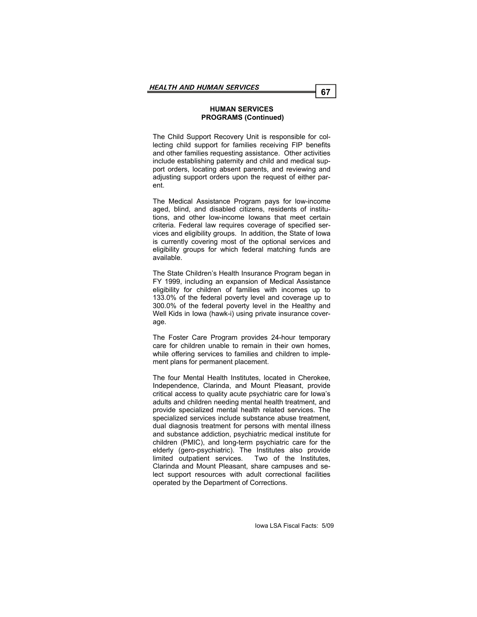### **HUMAN SERVICES PROGRAMS (Continued)**

The Child Support Recovery Unit is responsible for collecting child support for families receiving FIP benefits and other families requesting assistance. Other activities include establishing paternity and child and medical support orders, locating absent parents, and reviewing and adjusting support orders upon the request of either parent.

The Medical Assistance Program pays for low-income aged, blind, and disabled citizens, residents of institutions, and other low-income Iowans that meet certain criteria. Federal law requires coverage of specified services and eligibility groups. In addition, the State of Iowa is currently covering most of the optional services and eligibility groups for which federal matching funds are available.

The State Children's Health Insurance Program began in FY 1999, including an expansion of Medical Assistance eligibility for children of families with incomes up to 133.0% of the federal poverty level and coverage up to 300.0% of the federal poverty level in the Healthy and Well Kids in Iowa (hawk-i) using private insurance coverage.

The Foster Care Program provides 24-hour temporary care for children unable to remain in their own homes, while offering services to families and children to implement plans for permanent placement.

The four Mental Health Institutes, located in Cherokee, Independence, Clarinda, and Mount Pleasant, provide critical access to quality acute psychiatric care for Iowa's adults and children needing mental health treatment, and provide specialized mental health related services. The specialized services include substance abuse treatment, dual diagnosis treatment for persons with mental illness and substance addiction, psychiatric medical institute for children (PMIC), and long-term psychiatric care for the elderly (gero-psychiatric). The Institutes also provide limited outpatient services. Two of the Institutes, Clarinda and Mount Pleasant, share campuses and select support resources with adult correctional facilities operated by the Department of Corrections.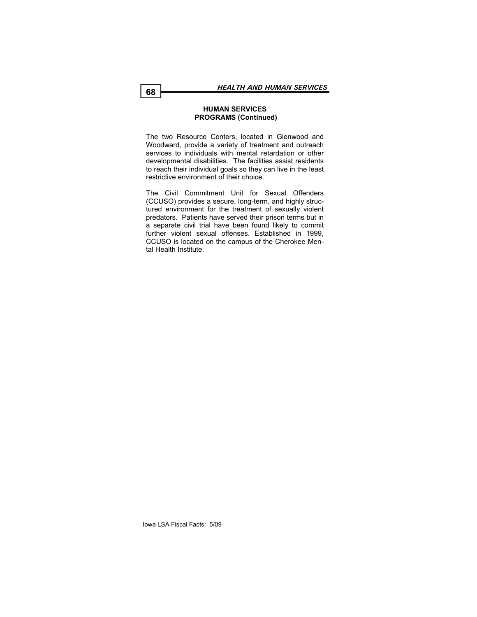## **HUMAN SERVICES PROGRAMS (Continued)**

The two Resource Centers, located in Glenwood and Woodward, provide a variety of treatment and outreach services to individuals with mental retardation or other developmental disabilities. The facilities assist residents to reach their individual goals so they can live in the least restrictive environment of their choice.

The Civil Commitment Unit for Sexual Offenders (CCUSO) provides a secure, long-term, and highly structured environment for the treatment of sexually violent predators. Patients have served their prison terms but in a separate civil trial have been found likely to commit further violent sexual offenses. Established in 1999, CCUSO is located on the campus of the Cherokee Mental Health Institute.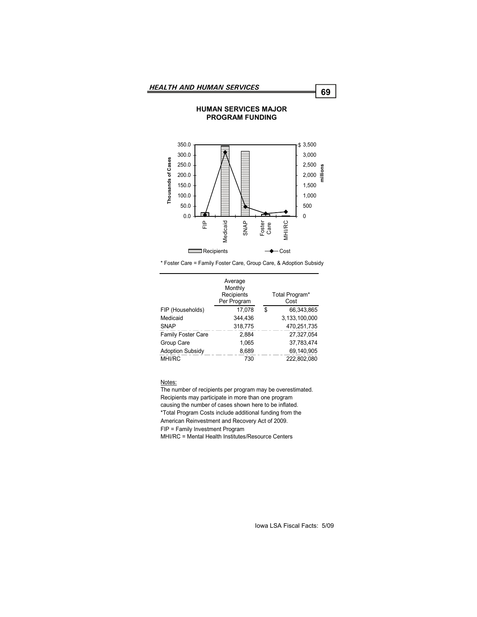#### 350.0 3,500 \$ 300.0 3,000 Thousands of Cases **Thousands of Cases** 250.0 2,500 **millions**200.0 2,000 150.0 1,500 100.0 1,000 50.0 500 0.0  $\Omega$ SNAP FIP Medicaid Foster MHI/RC Care  $\overline{\phantom{0}}$ Recipients  $\overline{\phantom{0}}$ Cost

**HUMAN SERVICES MAJOR PROGRAM FUNDING** 

\* Foster Care = Family Foster Care, Group Care, & Adoption Subsidy

|                           | Average<br>Monthly<br>Recipients<br>Per Program | Total Program*<br>Cost |
|---------------------------|-------------------------------------------------|------------------------|
| FIP (Households)          | 17,078                                          | \$<br>66,343,865       |
| Medicaid                  | 344.436                                         | 3,133,100,000          |
| <b>SNAP</b>               | 318,775                                         | 470,251,735            |
| <b>Family Foster Care</b> | 2.884                                           | 27,327,054             |
| Group Care                | 1.065                                           | 37.783.474             |
| <b>Adoption Subsidy</b>   | 8,689                                           | 69.140.905             |
| <b>MHI/RC</b>             | 730                                             | 222.802.080            |

Notes:

The number of recipients per program may be overestimated. Recipients may participate in more than one program causing the number of cases shown here to be inflated. \*Total Program Costs include additional funding from the American Reinvestment and Recovery Act of 2009. FIP = Family Investment Program MHI/RC = Mental Health Institutes/Resource Centers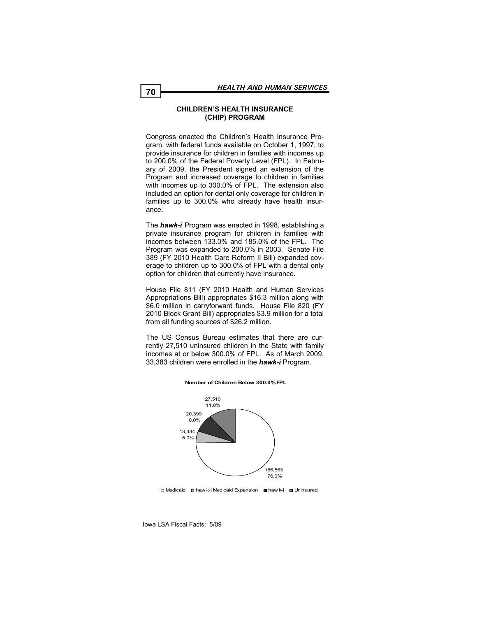## **CHILDREN'S HEALTH INSURANCE (CHIP) PROGRAM**

Congress enacted the Children's Health Insurance Program, with federal funds available on October 1, 1997, to provide insurance for children in families with incomes up to 200.0% of the Federal Poverty Level (FPL). In February of 2009, the President signed an extension of the Program and increased coverage to children in families with incomes up to 300.0% of FPL. The extension also included an option for dental only coverage for children in families up to 300.0% who already have health insurance.

The *hawk-i* Program was enacted in 1998, establishing a private insurance program for children in families with incomes between 133.0% and 185.0% of the FPL. The Program was expanded to 200.0% in 2003. Senate File 389 (FY 2010 Health Care Reform II Bill) expanded coverage to children up to 300.0% of FPL with a dental only option for children that currently have insurance.

House File 811 (FY 2010 Health and Human Services Appropriations Bill) appropriates \$16.3 million along with \$6.0 million in carryforward funds. House File 820 (FY 2010 Block Grant Bill) appropriates \$3.9 million for a total from all funding sources of \$26.2 million.

The US Census Bureau estimates that there are currently 27,510 uninsured children in the State with family incomes at or below 300.0% of FPL. As of March 2009, 33,383 children were enrolled in the *hawk-i* Program.



#### **Number of Children Below 300.0% FPL**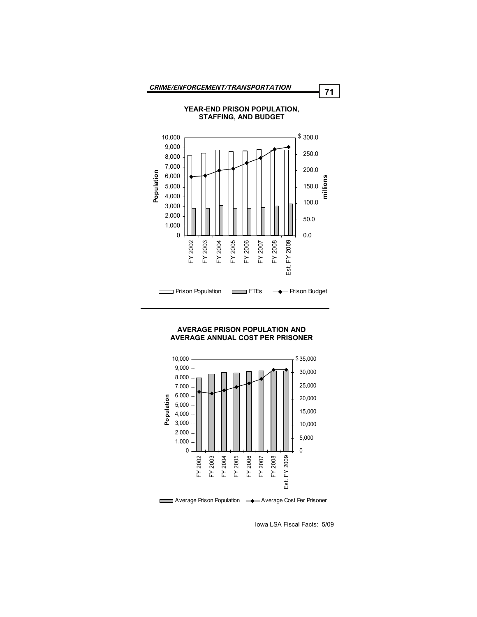

## **YEAR-END PRISON POPULATION, STAFFING, AND BUDGET**

## **AVERAGE PRISON POPULATION AND AVERAGE ANNUAL COST PER PRISONER**



Iowa LSA Fiscal Facts: 5/09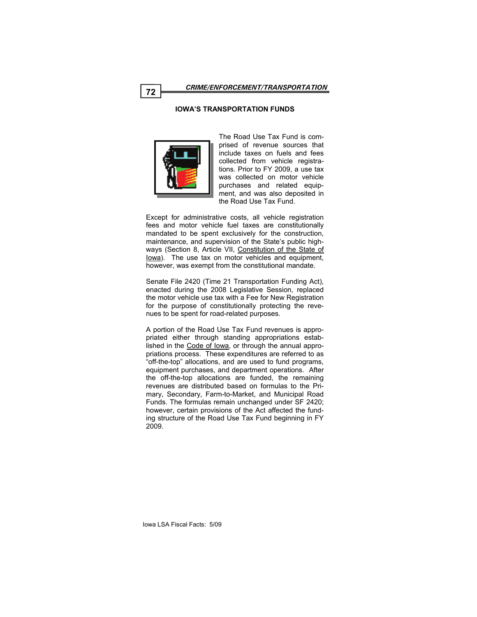## **IOWA'S TRANSPORTATION FUNDS**



The Road Use Tax Fund is comprised of revenue sources that include taxes on fuels and fees collected from vehicle registrations. Prior to FY 2009, a use tax was collected on motor vehicle purchases and related equipment, and was also deposited in the Road Use Tax Fund.

Except for administrative costs, all vehicle registration fees and motor vehicle fuel taxes are constitutionally mandated to be spent exclusively for the construction, maintenance, and supervision of the State's public highways (Section 8, Article VII, Constitution of the State of Iowa). The use tax on motor vehicles and equipment, however, was exempt from the constitutional mandate.

Senate File 2420 (Time 21 Transportation Funding Act), enacted during the 2008 Legislative Session, replaced the motor vehicle use tax with a Fee for New Registration for the purpose of constitutionally protecting the revenues to be spent for road-related purposes.

A portion of the Road Use Tax Fund revenues is appropriated either through standing appropriations established in the Code of Iowa, or through the annual appropriations process. These expenditures are referred to as "off-the-top" allocations, and are used to fund programs, equipment purchases, and department operations. After the off-the-top allocations are funded, the remaining revenues are distributed based on formulas to the Primary, Secondary, Farm-to-Market, and Municipal Road Funds. The formulas remain unchanged under SF 2420; however, certain provisions of the Act affected the funding structure of the Road Use Tax Fund beginning in FY 2009.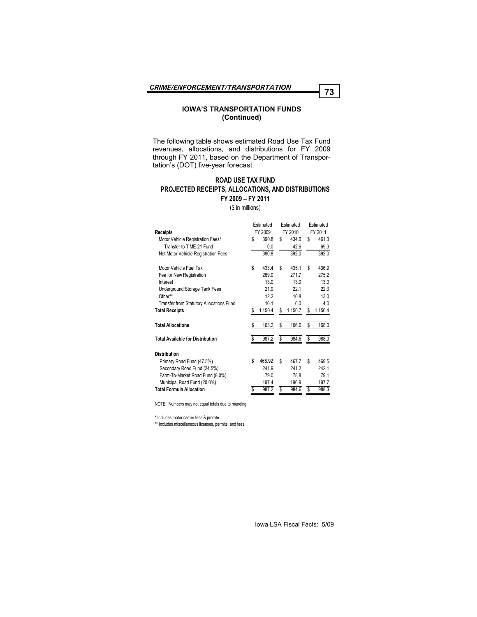### **IOWA'S TRANSPORTATION FUNDS (Continued)**

The following table shows estimated Road Use Tax Fund revenues, allocations, and distributions for FY 2009 through FY 2011, based on the Department of Transportation's (DOT) five-year forecast.

# **ROAD USE TAX FUND PROJECTED RECEIPTS, ALLOCATIONS, AND DISTRIBUTIONS FY 2009 – FY 2011**

(\$ in millions)

|                                          |    | Estimated |    | <b>Fstimated</b> |         | Estimated |
|------------------------------------------|----|-----------|----|------------------|---------|-----------|
| <b>Receipts</b>                          |    | FY 2009   |    | FY 2010          | FY 2011 |           |
| Motor Vehicle Registration Fees*         | S  | 390.8     | S  | 434.6            | \$      | 461.3     |
| Transfer to TIME-21 Fund                 |    | 0.0       |    | $-42.6$          |         | $-69.3$   |
| Net Motor Vehicle Registration Fees      |    | 390.8     |    | 392.0            |         | 392.0     |
| Motor Vehicle Fuel Tax                   | \$ | 433.4     | S  | 435.1            | \$      | 436.9     |
| Fee for New Registration                 |    | 269.0     |    | 2717             |         | 275.2     |
| Interest                                 |    | 13.0      |    | 130              |         | 13.0      |
| Underground Storage Tank Fees            |    | 21.9      |    | 221              |         | 22.3      |
| Other**                                  |    | 12.2      |    | 10.8             |         | 13.0      |
| Transfer from Statutory Allocations Fund |    | 10.1      |    | 6.0              |         | 4.0       |
| <b>Total Receipts</b>                    | \$ | 1,150.4   | S  | 1,150.7          | \$      | 1,156.4   |
| <b>Total Allocations</b>                 | \$ | 163.2     | \$ | 166.0            | \$      | 168.0     |
| <b>Total Available for Distribution</b>  | S  | 987.2     | S  | 984.6            | \$      | 988.3     |
| <b>Distribution</b>                      |    |           |    |                  |         |           |
| Primary Road Fund (47.5%)                | S  | 468.92    | S  | 467.7            | \$      | 469.5     |
| Secondary Road Fund (24.5%)              |    | 241.9     |    | 241.2            |         | 242.1     |
| Farm-To-Market Road Fund (8.0%)          |    | 79.0      |    | 78.8             |         | 79.1      |
| Municipal Road Fund (20.0%)              |    | 197.4     |    | 196.9            |         | 197.7     |
| <b>Total Formula Allocation</b>          | \$ | 987.2     | S  | 984.6            | \$      | 988.3     |

NOTE: Numbers may not equal totals due to rounding.

\* Includes motor carrier fees & prorate.

\*\* Includes miscellaneous licenses, permits, and fees.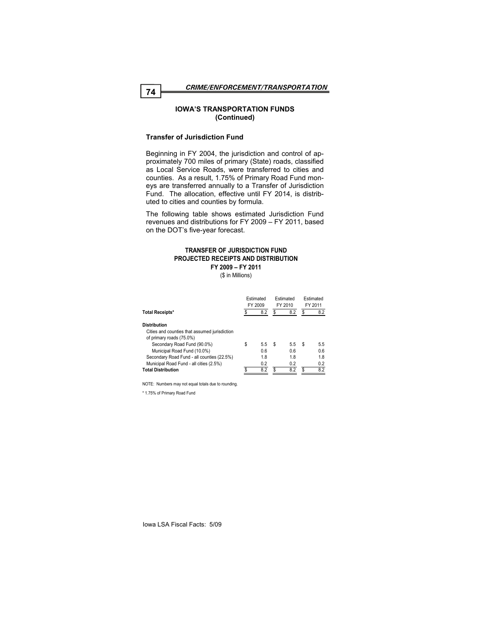## **IOWA'S TRANSPORTATION FUNDS (Continued)**

## **Transfer of Jurisdiction Fund**

Beginning in FY 2004, the jurisdiction and control of approximately 700 miles of primary (State) roads, classified as Local Service Roads, were transferred to cities and counties. As a result, 1.75% of Primary Road Fund moneys are transferred annually to a Transfer of Jurisdiction Fund. The allocation, effective until FY 2014, is distributed to cities and counties by formula.

The following table shows estimated Jurisdiction Fund revenues and distributions for FY 2009 – FY 2011, based on the DOT's five-year forecast.

#### **TRANSFER OF JURISDICTION FUND PROJECTED RECEIPTS AND DISTRIBUTION FY 2009 – FY 2011**

(\$ in Millions)

|                                                                           | Estimated<br>FY 2009 |     | Estimated<br>FY 2010 |     | Estimated<br>FY 2011 |     |
|---------------------------------------------------------------------------|----------------------|-----|----------------------|-----|----------------------|-----|
| <b>Total Receipts*</b>                                                    |                      | 8.2 | \$                   | 8.2 | \$                   | 8.2 |
| <b>Distribution</b>                                                       |                      |     |                      |     |                      |     |
| Cities and counties that assumed jurisdiction<br>of primary roads (75.0%) |                      |     |                      |     |                      |     |
| Secondary Road Fund (90.0%)                                               | \$                   | 5.5 | S                    | 5.5 | S                    | 5.5 |
| Municipal Road Fund (10.0%)                                               |                      | 0.6 |                      | 0.6 |                      | 0.6 |
| Secondary Road Fund - all counties (22.5%)                                |                      | 1.8 |                      | 1.8 |                      | 1.8 |
| Municipal Road Fund - all cities (2.5%)                                   |                      | 0.2 |                      | 0.2 |                      | 0.2 |
| <b>Total Distribution</b>                                                 |                      | 8.2 | \$                   | 8.2 |                      | 8.2 |

NOTE: Numbers may not equal totals due to rounding.

\* 1.75% of Primary Road Fund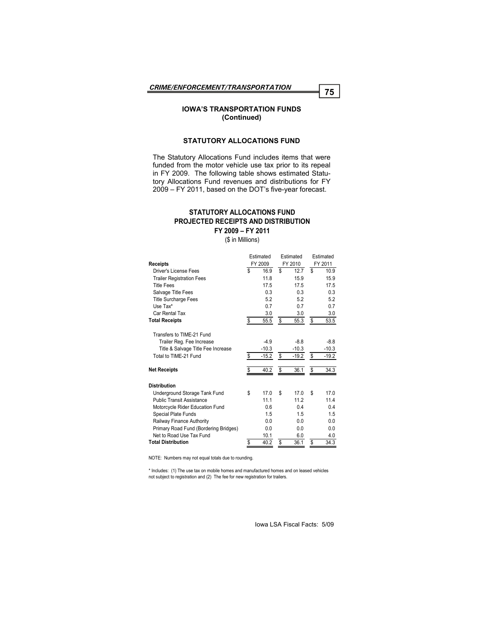## **IOWA'S TRANSPORTATION FUNDS (Continued)**

## **STATUTORY ALLOCATIONS FUND**

The Statutory Allocations Fund includes items that were funded from the motor vehicle use tax prior to its repeal in FY 2009. The following table shows estimated Statutory Allocations Fund revenues and distributions for FY 2009 – FY 2011, based on the DOT's five-year forecast.

## **PROJECTED RECEIPTS AND DISTRIBUTION FY 2009 – FY 2011 STATUTORY ALLOCATIONS FUND**

(\$ in Millions)

|                                       | Estimated     |         | Estimated |         | Estimated |
|---------------------------------------|---------------|---------|-----------|---------|-----------|
| <b>Receipts</b>                       | FY 2009       | FY 2010 |           | FY 2011 |           |
| Driver's License Fees                 | \$<br>16.9    | S       | 12.7      | \$      | 10.9      |
| <b>Trailer Registration Fees</b>      | 11.8          |         | 15.9      |         | 15.9      |
| <b>Title Fees</b>                     | 17.5          |         | 17.5      |         | 17.5      |
| Salvage Title Fees                    | 0.3           |         | 0.3       |         | 0.3       |
| <b>Title Surcharge Fees</b>           | 5.2           |         | 5.2       |         | 5.2       |
| Use Tax*                              | 0.7           |         | 0.7       |         | 0.7       |
| Car Rental Tax                        | 3.0           |         | 3.0       |         | 3.0       |
| <b>Total Receipts</b>                 | \$<br>55.5    | \$      | 55.3      | \$      | 53.5      |
| Transfers to TIME-21 Fund             |               |         |           |         |           |
| Trailer Reg. Fee Increase             | $-4.9$        |         | $-8.8$    |         | $-8.8$    |
| Title & Salvage Title Fee Increase    | $-10.3$       |         | $-10.3$   |         | $-10.3$   |
| Total to TIME-21 Fund                 | \$<br>$-15.2$ | \$      | $-19.2$   | \$      | $-19.2$   |
| <b>Net Receipts</b>                   | \$<br>40.2    | \$      | 36.1      | \$      | 34.3      |
| <b>Distribution</b>                   |               |         |           |         |           |
| Underground Storage Tank Fund         | \$<br>17.0    | \$      | 17.0      | \$      | 17.0      |
| <b>Public Transit Assistance</b>      | 11.1          |         | 11.2      |         | 11.4      |
| Motorcycle Rider Education Fund       | 0.6           |         | 0.4       |         | 0.4       |
| Special Plate Funds                   | 1.5           |         | 1.5       |         | 1.5       |
| Railway Finance Authority             | 0.0           |         | 0.0       |         | 0.0       |
| Primary Road Fund (Bordering Bridges) | 0.0           |         | 0.0       |         | 0.0       |
| Net to Road Use Tax Fund              | 10.1          |         | 6.0       |         | 4.0       |
| <b>Total Distribution</b>             | \$<br>40.2    | S       | 36.1      | \$      | 34.3      |

NOTE: Numbers may not equal totals due to rounding.

\* Includes: (1) The use tax on mobile homes and manufactured homes and on leased vehicles not subject to registration and (2) The fee for new registration for trailers.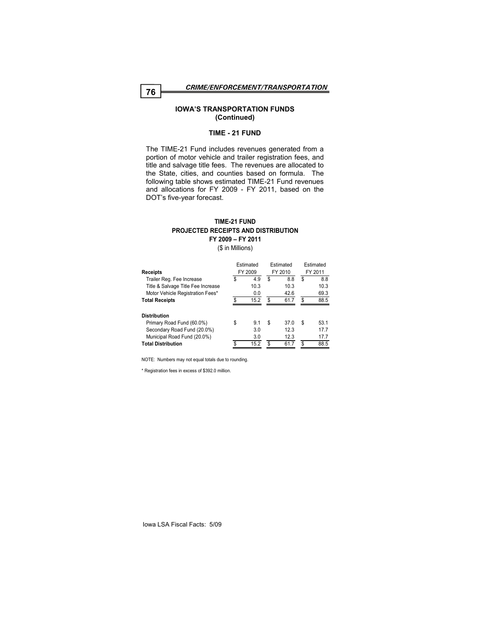*CRIME/ENFORCEMENT/TRANSPORTATION* **<sup>76</sup>**

### **IOWA'S TRANSPORTATION FUNDS (Continued)**

#### **TIME - 21 FUND**

The TIME-21 Fund includes revenues generated from a portion of motor vehicle and trailer registration fees, and title and salvage title fees. The revenues are allocated to the State, cities, and counties based on formula. The following table shows estimated TIME-21 Fund revenues and allocations for FY 2009 - FY 2011, based on the DOT's five-year forecast.

## **TIME-21 FUND PROJECTED RECEIPTS AND DISTRIBUTION FY 2009 – FY 2011**

(\$ in Millions)

| <b>Receipts</b>                    | Estimated<br>FY 2009 |      | Estimated<br>FY 2010 |      | Estimated<br>FY 2011 |      |
|------------------------------------|----------------------|------|----------------------|------|----------------------|------|
| Trailer Reg. Fee Increase          | S                    | 4.9  | \$                   | 8.8  | \$                   | 8.8  |
| Title & Salvage Title Fee Increase |                      | 10.3 |                      | 10.3 |                      | 10.3 |
| Motor Vehicle Registration Fees*   |                      | 0.0  |                      | 42.6 |                      | 69.3 |
| <b>Total Receipts</b>              | \$                   | 15.2 | S                    | 61.7 | S                    | 88.5 |
| <b>Distribution</b>                |                      |      |                      |      |                      |      |
| Primary Road Fund (60.0%)          | \$                   | 9.1  | \$                   | 37.0 | \$                   | 53.1 |
| Secondary Road Fund (20.0%)        |                      | 3.0  |                      | 12.3 |                      | 17.7 |
| Municipal Road Fund (20.0%)        |                      | 3.0  |                      | 12.3 |                      | 17.7 |
| <b>Total Distribution</b>          | \$                   | 15.2 | \$                   | 617  | \$                   | 88.5 |
|                                    |                      |      |                      |      |                      |      |

NOTE: Numbers may not equal totals due to rounding.

\* Registration fees in excess of \$392.0 million.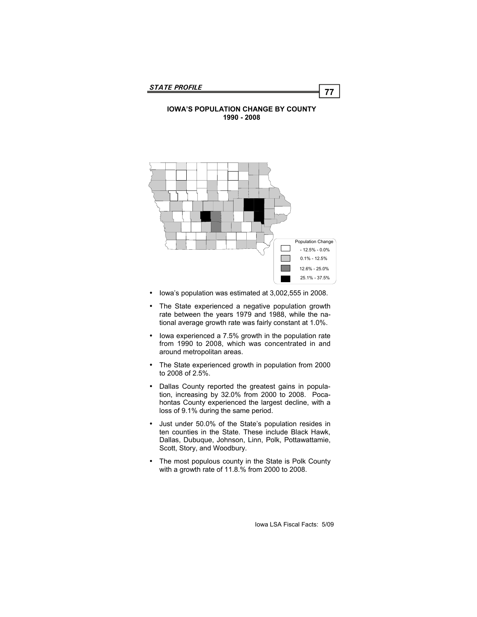## **IOWA'S POPULATION CHANGE BY COUNTY 1990 - 2008**



- Iowa's population was estimated at 3,002,555 in 2008.
- The State experienced a negative population growth rate between the years 1979 and 1988, while the national average growth rate was fairly constant at 1.0%.
- Iowa experienced a 7.5% growth in the population rate from 1990 to 2008, which was concentrated in and around metropolitan areas.
- The State experienced growth in population from 2000 to 2008 of 2.5%.
- Dallas County reported the greatest gains in population, increasing by 32.0% from 2000 to 2008. Pocahontas County experienced the largest decline, with a loss of 9.1% during the same period.
- Just under 50.0% of the State's population resides in ten counties in the State. These include Black Hawk, Dallas, Dubuque, Johnson, Linn, Polk, Pottawattamie, Scott, Story, and Woodbury.
- The most populous county in the State is Polk County with a growth rate of 11.8.% from 2000 to 2008.

Iowa LSA Fiscal Facts: 5/09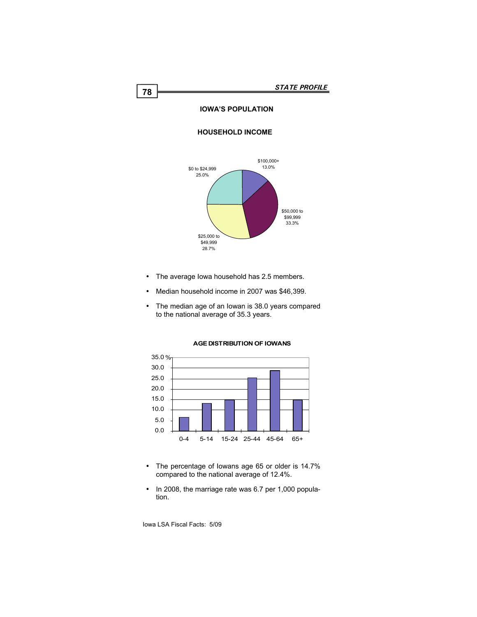# **IOWA'S POPULATION**

## **HOUSEHOLD INCOME**



- The average Iowa household has 2.5 members.
- Median household income in 2007 was \$46,399.
- The median age of an Iowan is 38.0 years compared to the national average of 35.3 years.



#### **AGE DISTRIBUTION OF IOWANS**

- The percentage of Iowans age 65 or older is 14.7% compared to the national average of 12.4%.
- In 2008, the marriage rate was 6.7 per 1,000 population.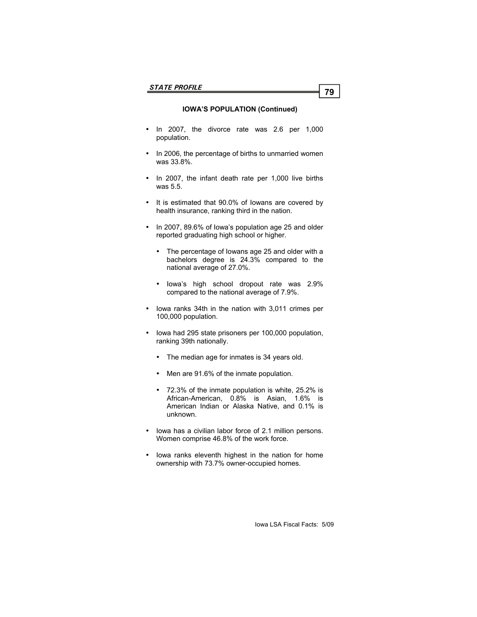# **IOWA'S POPULATION (Continued)**

- In 2007, the divorce rate was 2.6 per 1,000 population.
- In 2006, the percentage of births to unmarried women was 33.8%.
- In 2007, the infant death rate per 1,000 live births was 5.5.
- It is estimated that 90.0% of Iowans are covered by health insurance, ranking third in the nation.
- In 2007, 89.6% of Iowa's population age 25 and older reported graduating high school or higher.
	- The percentage of Iowans age 25 and older with a bachelors degree is 24.3% compared to the national average of 27.0%.
	- Iowa's high school dropout rate was 2.9% compared to the national average of 7.9%.
- Iowa ranks 34th in the nation with 3,011 crimes per 100,000 population.
- Iowa had 295 state prisoners per 100,000 population, ranking 39th nationally.
	- The median age for inmates is 34 years old.
	- Men are 91.6% of the inmate population.
	- 72.3% of the inmate population is white, 25.2% is African-American, 0.8% is Asian, 1.6% is American Indian or Alaska Native, and 0.1% is unknown.
- Iowa has a civilian labor force of 2.1 million persons. Women comprise 46.8% of the work force.
- Iowa ranks eleventh highest in the nation for home ownership with 73.7% owner-occupied homes.